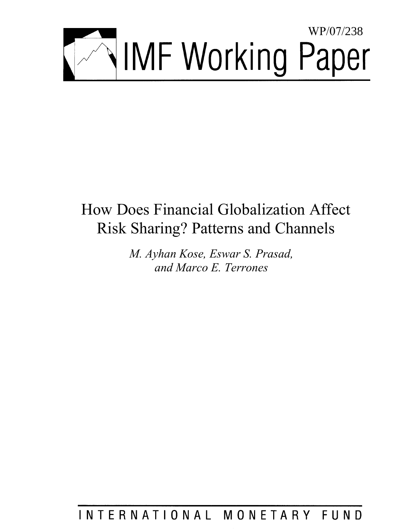

# How Does Financial Globalization Affect Risk Sharing? Patterns and Channels

*M. Ayhan Kose, Eswar S. Prasad, and Marco E. Terrones* 

## INTERNATIONAL MONETARY FUND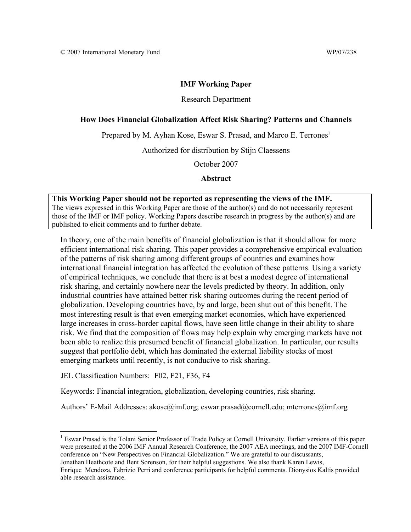#### **IMF Working Paper**

#### Research Department

#### **How Does Financial Globalization Affect Risk Sharing? Patterns and Channels**

Prepared by M. Ayhan Kose, Eswar S. Prasad, and Marco E. Terrones<sup>1</sup>

Authorized for distribution by Stijn Claessens

October 2007

**Abstract** 

#### **This Working Paper should not be reported as representing the views of the IMF.**

The views expressed in this Working Paper are those of the author(s) and do not necessarily represent those of the IMF or IMF policy. Working Papers describe research in progress by the author(s) and are published to elicit comments and to further debate.

In theory, one of the main benefits of financial globalization is that it should allow for more efficient international risk sharing. This paper provides a comprehensive empirical evaluation of the patterns of risk sharing among different groups of countries and examines how international financial integration has affected the evolution of these patterns. Using a variety of empirical techniques, we conclude that there is at best a modest degree of international risk sharing, and certainly nowhere near the levels predicted by theory. In addition, only industrial countries have attained better risk sharing outcomes during the recent period of globalization. Developing countries have, by and large, been shut out of this benefit. The most interesting result is that even emerging market economies, which have experienced large increases in cross-border capital flows, have seen little change in their ability to share risk. We find that the composition of flows may help explain why emerging markets have not been able to realize this presumed benefit of financial globalization. In particular, our results suggest that portfolio debt, which has dominated the external liability stocks of most emerging markets until recently, is not conducive to risk sharing.

JEL Classification Numbers: F02, F21, F36, F4

 $\overline{a}$ 

Keywords: Financial integration, globalization, developing countries, risk sharing.

Authors' E-Mail Addresses: akose@imf.org; eswar.prasad@cornell.edu; mterrones@imf.org

<sup>1</sup> Eswar Prasad is the Tolani Senior Professor of Trade Policy at Cornell University. Earlier versions of this paper were presented at the 2006 IMF Annual Research Conference, the 2007 AEA meetings, and the 2007 IMF-Cornell conference on "New Perspectives on Financial Globalization." We are grateful to our discussants, Jonathan Heathcote and Bent Sorenson, for their helpful suggestions. We also thank Karen Lewis,

Enrique Mendoza, Fabrizio Perri and conference participants for helpful comments. Dionysios Kaltis provided able research assistance.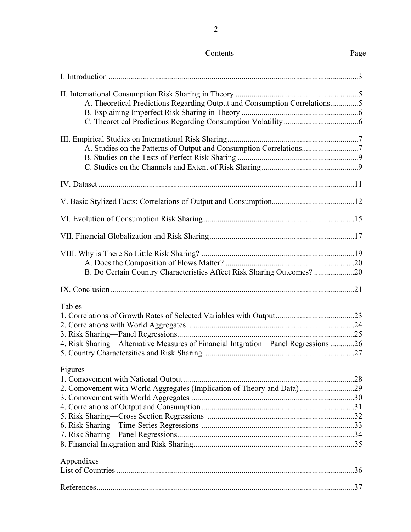| A. Theoretical Predictions Regarding Output and Consumption Correlations5         |  |
|-----------------------------------------------------------------------------------|--|
|                                                                                   |  |
|                                                                                   |  |
|                                                                                   |  |
|                                                                                   |  |
| A. Studies on the Patterns of Output and Consumption Correlations7                |  |
|                                                                                   |  |
|                                                                                   |  |
|                                                                                   |  |
|                                                                                   |  |
|                                                                                   |  |
|                                                                                   |  |
|                                                                                   |  |
|                                                                                   |  |
|                                                                                   |  |
| B. Do Certain Country Characteristics Affect Risk Sharing Outcomes? 20            |  |
|                                                                                   |  |
| Tables                                                                            |  |
|                                                                                   |  |
|                                                                                   |  |
|                                                                                   |  |
| 4. Risk Sharing—Alternative Measures of Financial Intgration—Panel Regressions 26 |  |
|                                                                                   |  |
| Figures                                                                           |  |
|                                                                                   |  |
| 2. Comovement with World Aggregates (Implication of Theory and Data)29            |  |
|                                                                                   |  |
|                                                                                   |  |
|                                                                                   |  |
|                                                                                   |  |
|                                                                                   |  |
|                                                                                   |  |
| Appendixes                                                                        |  |
|                                                                                   |  |
|                                                                                   |  |

Contents Page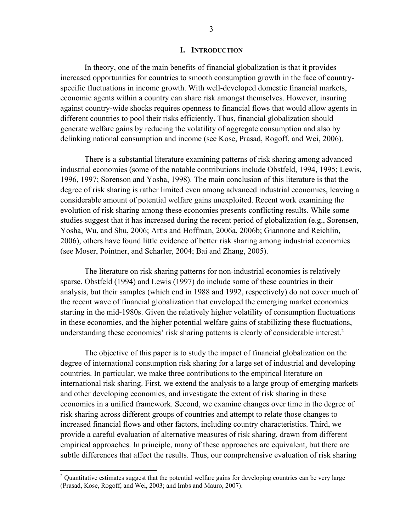#### **I. INTRODUCTION**

In theory, one of the main benefits of financial globalization is that it provides increased opportunities for countries to smooth consumption growth in the face of countryspecific fluctuations in income growth. With well-developed domestic financial markets, economic agents within a country can share risk amongst themselves. However, insuring against country-wide shocks requires openness to financial flows that would allow agents in different countries to pool their risks efficiently. Thus, financial globalization should generate welfare gains by reducing the volatility of aggregate consumption and also by delinking national consumption and income (see Kose, Prasad, Rogoff, and Wei, 2006).

There is a substantial literature examining patterns of risk sharing among advanced industrial economies (some of the notable contributions include Obstfeld, 1994, 1995; Lewis, 1996, 1997; Sorenson and Yosha, 1998). The main conclusion of this literature is that the degree of risk sharing is rather limited even among advanced industrial economies, leaving a considerable amount of potential welfare gains unexploited. Recent work examining the evolution of risk sharing among these economies presents conflicting results. While some studies suggest that it has increased during the recent period of globalization (e.g., Sorensen, Yosha, Wu, and Shu, 2006; Artis and Hoffman, 2006a, 2006b; Giannone and Reichlin, 2006), others have found little evidence of better risk sharing among industrial economies (see Moser, Pointner, and Scharler, 2004; Bai and Zhang, 2005).

The literature on risk sharing patterns for non-industrial economies is relatively sparse. Obstfeld (1994) and Lewis (1997) do include some of these countries in their analysis, but their samples (which end in 1988 and 1992, respectively) do not cover much of the recent wave of financial globalization that enveloped the emerging market economies starting in the mid-1980s. Given the relatively higher volatility of consumption fluctuations in these economies, and the higher potential welfare gains of stabilizing these fluctuations, understanding these economies' risk sharing patterns is clearly of considerable interest.<sup>2</sup>

The objective of this paper is to study the impact of financial globalization on the degree of international consumption risk sharing for a large set of industrial and developing countries. In particular, we make three contributions to the empirical literature on international risk sharing. First, we extend the analysis to a large group of emerging markets and other developing economies, and investigate the extent of risk sharing in these economies in a unified framework. Second, we examine changes over time in the degree of risk sharing across different groups of countries and attempt to relate those changes to increased financial flows and other factors, including country characteristics. Third, we provide a careful evaluation of alternative measures of risk sharing, drawn from different empirical approaches. In principle, many of these approaches are equivalent, but there are subtle differences that affect the results. Thus, our comprehensive evaluation of risk sharing

1

 $2$  Quantitative estimates suggest that the potential welfare gains for developing countries can be very large (Prasad, Kose, Rogoff, and Wei, 2003; and Imbs and Mauro, 2007).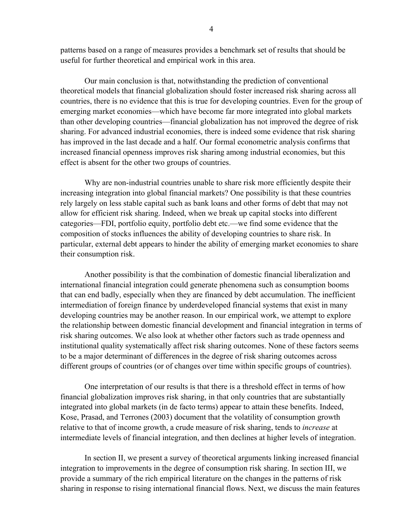patterns based on a range of measures provides a benchmark set of results that should be useful for further theoretical and empirical work in this area.

Our main conclusion is that, notwithstanding the prediction of conventional theoretical models that financial globalization should foster increased risk sharing across all countries, there is no evidence that this is true for developing countries. Even for the group of emerging market economies—which have become far more integrated into global markets than other developing countries—financial globalization has not improved the degree of risk sharing. For advanced industrial economies, there is indeed some evidence that risk sharing has improved in the last decade and a half. Our formal econometric analysis confirms that increased financial openness improves risk sharing among industrial economies, but this effect is absent for the other two groups of countries.

Why are non-industrial countries unable to share risk more efficiently despite their increasing integration into global financial markets? One possibility is that these countries rely largely on less stable capital such as bank loans and other forms of debt that may not allow for efficient risk sharing. Indeed, when we break up capital stocks into different categories—FDI, portfolio equity, portfolio debt etc.—we find some evidence that the composition of stocks influences the ability of developing countries to share risk. In particular, external debt appears to hinder the ability of emerging market economies to share their consumption risk.

Another possibility is that the combination of domestic financial liberalization and international financial integration could generate phenomena such as consumption booms that can end badly, especially when they are financed by debt accumulation. The inefficient intermediation of foreign finance by underdeveloped financial systems that exist in many developing countries may be another reason. In our empirical work, we attempt to explore the relationship between domestic financial development and financial integration in terms of risk sharing outcomes. We also look at whether other factors such as trade openness and institutional quality systematically affect risk sharing outcomes. None of these factors seems to be a major determinant of differences in the degree of risk sharing outcomes across different groups of countries (or of changes over time within specific groups of countries).

One interpretation of our results is that there is a threshold effect in terms of how financial globalization improves risk sharing, in that only countries that are substantially integrated into global markets (in de facto terms) appear to attain these benefits. Indeed, Kose, Prasad, and Terrones (2003) document that the volatility of consumption growth relative to that of income growth, a crude measure of risk sharing, tends to *increase* at intermediate levels of financial integration, and then declines at higher levels of integration.

In section II, we present a survey of theoretical arguments linking increased financial integration to improvements in the degree of consumption risk sharing. In section III, we provide a summary of the rich empirical literature on the changes in the patterns of risk sharing in response to rising international financial flows. Next, we discuss the main features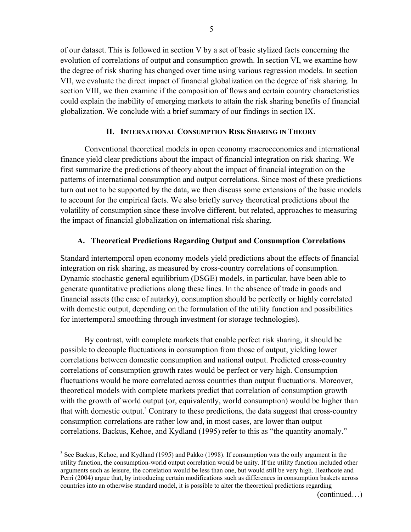of our dataset. This is followed in section V by a set of basic stylized facts concerning the evolution of correlations of output and consumption growth. In section VI, we examine how the degree of risk sharing has changed over time using various regression models. In section VII, we evaluate the direct impact of financial globalization on the degree of risk sharing. In section VIII, we then examine if the composition of flows and certain country characteristics could explain the inability of emerging markets to attain the risk sharing benefits of financial globalization. We conclude with a brief summary of our findings in section IX.

#### **II. INTERNATIONAL CONSUMPTION RISK SHARING IN THEORY**

Conventional theoretical models in open economy macroeconomics and international finance yield clear predictions about the impact of financial integration on risk sharing. We first summarize the predictions of theory about the impact of financial integration on the patterns of international consumption and output correlations. Since most of these predictions turn out not to be supported by the data, we then discuss some extensions of the basic models to account for the empirical facts. We also briefly survey theoretical predictions about the volatility of consumption since these involve different, but related, approaches to measuring the impact of financial globalization on international risk sharing.

#### **A. Theoretical Predictions Regarding Output and Consumption Correlations**

Standard intertemporal open economy models yield predictions about the effects of financial integration on risk sharing, as measured by cross-country correlations of consumption. Dynamic stochastic general equilibrium (DSGE) models, in particular, have been able to generate quantitative predictions along these lines. In the absence of trade in goods and financial assets (the case of autarky), consumption should be perfectly or highly correlated with domestic output, depending on the formulation of the utility function and possibilities for intertemporal smoothing through investment (or storage technologies).

By contrast, with complete markets that enable perfect risk sharing, it should be possible to decouple fluctuations in consumption from those of output, yielding lower correlations between domestic consumption and national output. Predicted cross-country correlations of consumption growth rates would be perfect or very high. Consumption fluctuations would be more correlated across countries than output fluctuations. Moreover, theoretical models with complete markets predict that correlation of consumption growth with the growth of world output (or, equivalently, world consumption) would be higher than that with domestic output.<sup>3</sup> Contrary to these predictions, the data suggest that cross-country consumption correlations are rather low and, in most cases, are lower than output correlations. Backus, Kehoe, and Kydland (1995) refer to this as "the quantity anomaly."

<sup>&</sup>lt;sup>3</sup> See Backus, Kehoe, and Kydland (1995) and Pakko (1998). If consumption was the only argument in the utility function, the consumption-world output correlation would be unity. If the utility function included other arguments such as leisure, the correlation would be less than one, but would still be very high. Heathcote and Perri (2004) argue that, by introducing certain modifications such as differences in consumption baskets across countries into an otherwise standard model, it is possible to alter the theoretical predictions regarding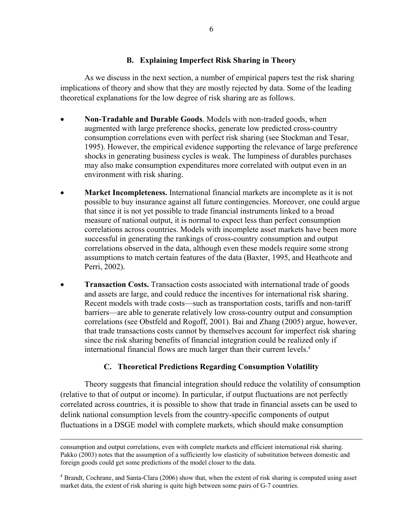#### **B. Explaining Imperfect Risk Sharing in Theory**

As we discuss in the next section, a number of empirical papers test the risk sharing implications of theory and show that they are mostly rejected by data. Some of the leading theoretical explanations for the low degree of risk sharing are as follows.

- **Non-Tradable and Durable Goods**. Models with non-traded goods, when augmented with large preference shocks, generate low predicted cross-country consumption correlations even with perfect risk sharing (see Stockman and Tesar, 1995). However, the empirical evidence supporting the relevance of large preference shocks in generating business cycles is weak. The lumpiness of durables purchases may also make consumption expenditures more correlated with output even in an environment with risk sharing.
- **Market Incompleteness.** International financial markets are incomplete as it is not possible to buy insurance against all future contingencies. Moreover, one could argue that since it is not yet possible to trade financial instruments linked to a broad measure of national output, it is normal to expect less than perfect consumption correlations across countries. Models with incomplete asset markets have been more successful in generating the rankings of cross-country consumption and output correlations observed in the data, although even these models require some strong assumptions to match certain features of the data (Baxter, 1995, and Heathcote and Perri, 2002).
- **Transaction Costs.** Transaction costs associated with international trade of goods and assets are large, and could reduce the incentives for international risk sharing. Recent models with trade costs—such as transportation costs, tariffs and non-tariff barriers—are able to generate relatively low cross-country output and consumption correlations (see Obstfeld and Rogoff, 2001). Bai and Zhang (2005) argue, however, that trade transactions costs cannot by themselves account for imperfect risk sharing since the risk sharing benefits of financial integration could be realized only if international financial flows are much larger than their current levels.<sup>4</sup>

## **C. Theoretical Predictions Regarding Consumption Volatility**

Theory suggests that financial integration should reduce the volatility of consumption (relative to that of output or income). In particular, if output fluctuations are not perfectly correlated across countries, it is possible to show that trade in financial assets can be used to delink national consumption levels from the country-specific components of output fluctuations in a DSGE model with complete markets, which should make consumption

consumption and output correlations, even with complete markets and efficient international risk sharing. Pakko (2003) notes that the assumption of a sufficiently low elasticity of substitution between domestic and foreign goods could get some predictions of the model closer to the data.

<sup>&</sup>lt;sup>4</sup> Brandt, Cochrane, and Santa-Clara (2006) show that, when the extent of risk sharing is computed using asset market data, the extent of risk sharing is quite high between some pairs of G-7 countries.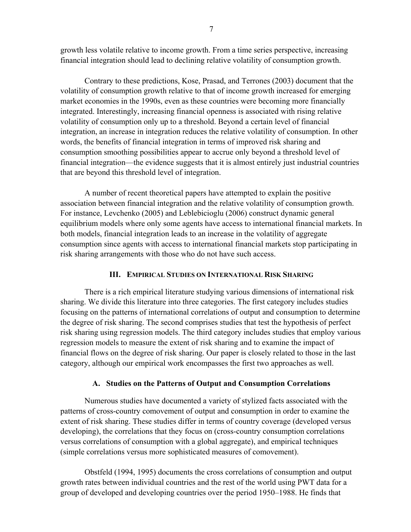growth less volatile relative to income growth. From a time series perspective, increasing financial integration should lead to declining relative volatility of consumption growth.

Contrary to these predictions, Kose, Prasad, and Terrones (2003) document that the volatility of consumption growth relative to that of income growth increased for emerging market economies in the 1990s, even as these countries were becoming more financially integrated. Interestingly, increasing financial openness is associated with rising relative volatility of consumption only up to a threshold. Beyond a certain level of financial integration, an increase in integration reduces the relative volatility of consumption. In other words, the benefits of financial integration in terms of improved risk sharing and consumption smoothing possibilities appear to accrue only beyond a threshold level of financial integration—the evidence suggests that it is almost entirely just industrial countries that are beyond this threshold level of integration.

A number of recent theoretical papers have attempted to explain the positive association between financial integration and the relative volatility of consumption growth. For instance, Levchenko (2005) and Leblebicioglu (2006) construct dynamic general equilibrium models where only some agents have access to international financial markets. In both models, financial integration leads to an increase in the volatility of aggregate consumption since agents with access to international financial markets stop participating in risk sharing arrangements with those who do not have such access.

#### **III. EMPIRICAL STUDIES ON INTERNATIONAL RISK SHARING**

There is a rich empirical literature studying various dimensions of international risk sharing. We divide this literature into three categories. The first category includes studies focusing on the patterns of international correlations of output and consumption to determine the degree of risk sharing. The second comprises studies that test the hypothesis of perfect risk sharing using regression models. The third category includes studies that employ various regression models to measure the extent of risk sharing and to examine the impact of financial flows on the degree of risk sharing. Our paper is closely related to those in the last category, although our empirical work encompasses the first two approaches as well.

#### **A. Studies on the Patterns of Output and Consumption Correlations**

Numerous studies have documented a variety of stylized facts associated with the patterns of cross-country comovement of output and consumption in order to examine the extent of risk sharing. These studies differ in terms of country coverage (developed versus developing), the correlations that they focus on (cross-country consumption correlations versus correlations of consumption with a global aggregate), and empirical techniques (simple correlations versus more sophisticated measures of comovement).

Obstfeld (1994, 1995) documents the cross correlations of consumption and output growth rates between individual countries and the rest of the world using PWT data for a group of developed and developing countries over the period 1950–1988. He finds that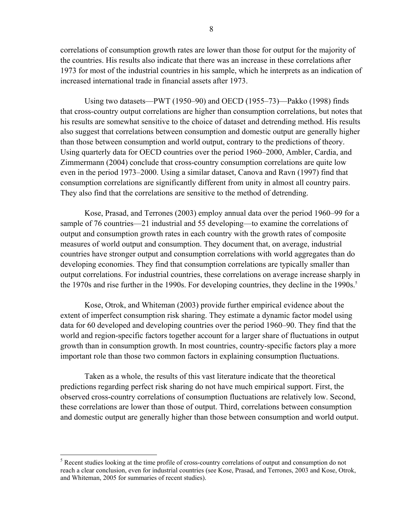correlations of consumption growth rates are lower than those for output for the majority of the countries. His results also indicate that there was an increase in these correlations after 1973 for most of the industrial countries in his sample, which he interprets as an indication of increased international trade in financial assets after 1973.

Using two datasets—PWT (1950–90) and OECD (1955–73)—Pakko (1998) finds that cross-country output correlations are higher than consumption correlations, but notes that his results are somewhat sensitive to the choice of dataset and detrending method. His results also suggest that correlations between consumption and domestic output are generally higher than those between consumption and world output, contrary to the predictions of theory. Using quarterly data for OECD countries over the period 1960–2000, Ambler, Cardia, and Zimmermann (2004) conclude that cross-country consumption correlations are quite low even in the period 1973–2000. Using a similar dataset, Canova and Ravn (1997) find that consumption correlations are significantly different from unity in almost all country pairs. They also find that the correlations are sensitive to the method of detrending.

Kose, Prasad, and Terrones (2003) employ annual data over the period 1960–99 for a sample of 76 countries—21 industrial and 55 developing—to examine the correlations of output and consumption growth rates in each country with the growth rates of composite measures of world output and consumption. They document that, on average, industrial countries have stronger output and consumption correlations with world aggregates than do developing economies. They find that consumption correlations are typically smaller than output correlations. For industrial countries, these correlations on average increase sharply in the 1970s and rise further in the 1990s. For developing countries, they decline in the 1990s.<sup>5</sup>

Kose, Otrok, and Whiteman (2003) provide further empirical evidence about the extent of imperfect consumption risk sharing. They estimate a dynamic factor model using data for 60 developed and developing countries over the period 1960–90. They find that the world and region-specific factors together account for a larger share of fluctuations in output growth than in consumption growth. In most countries, country-specific factors play a more important role than those two common factors in explaining consumption fluctuations.

Taken as a whole, the results of this vast literature indicate that the theoretical predictions regarding perfect risk sharing do not have much empirical support. First, the observed cross-country correlations of consumption fluctuations are relatively low. Second, these correlations are lower than those of output. Third, correlations between consumption and domestic output are generally higher than those between consumption and world output.

<sup>&</sup>lt;sup>5</sup> Recent studies looking at the time profile of cross-country correlations of output and consumption do not reach a clear conclusion, even for industrial countries (see Kose, Prasad, and Terrones, 2003 and Kose, Otrok, and Whiteman, 2005 for summaries of recent studies).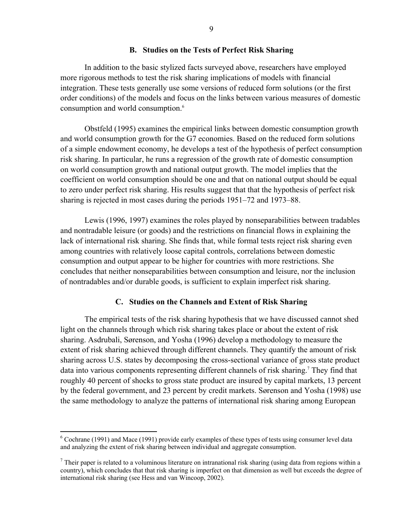#### **B. Studies on the Tests of Perfect Risk Sharing**

In addition to the basic stylized facts surveyed above, researchers have employed more rigorous methods to test the risk sharing implications of models with financial integration. These tests generally use some versions of reduced form solutions (or the first order conditions) of the models and focus on the links between various measures of domestic consumption and world consumption.<sup>6</sup>

Obstfeld (1995) examines the empirical links between domestic consumption growth and world consumption growth for the G7 economies. Based on the reduced form solutions of a simple endowment economy, he develops a test of the hypothesis of perfect consumption risk sharing. In particular, he runs a regression of the growth rate of domestic consumption on world consumption growth and national output growth. The model implies that the coefficient on world consumption should be one and that on national output should be equal to zero under perfect risk sharing. His results suggest that that the hypothesis of perfect risk sharing is rejected in most cases during the periods 1951–72 and 1973–88.

Lewis (1996, 1997) examines the roles played by nonseparabilities between tradables and nontradable leisure (or goods) and the restrictions on financial flows in explaining the lack of international risk sharing. She finds that, while formal tests reject risk sharing even among countries with relatively loose capital controls, correlations between domestic consumption and output appear to be higher for countries with more restrictions. She concludes that neither nonseparabilities between consumption and leisure, nor the inclusion of nontradables and/or durable goods, is sufficient to explain imperfect risk sharing.

#### **C. Studies on the Channels and Extent of Risk Sharing**

The empirical tests of the risk sharing hypothesis that we have discussed cannot shed light on the channels through which risk sharing takes place or about the extent of risk sharing. Asdrubali, Sørenson, and Yosha (1996) develop a methodology to measure the extent of risk sharing achieved through different channels. They quantify the amount of risk sharing across U.S. states by decomposing the cross-sectional variance of gross state product data into various components representing different channels of risk sharing.<sup>7</sup> They find that roughly 40 percent of shocks to gross state product are insured by capital markets, 13 percent by the federal government, and 23 percent by credit markets. Sørenson and Yosha (1998) use the same methodology to analyze the patterns of international risk sharing among European

 $6$  Cochrane (1991) and Mace (1991) provide early examples of these types of tests using consumer level data and analyzing the extent of risk sharing between individual and aggregate consumption.

 $<sup>7</sup>$  Their paper is related to a voluminous literature on intranational risk sharing (using data from regions within a</sup> country), which concludes that that risk sharing is imperfect on that dimension as well but exceeds the degree of international risk sharing (see Hess and van Wincoop, 2002).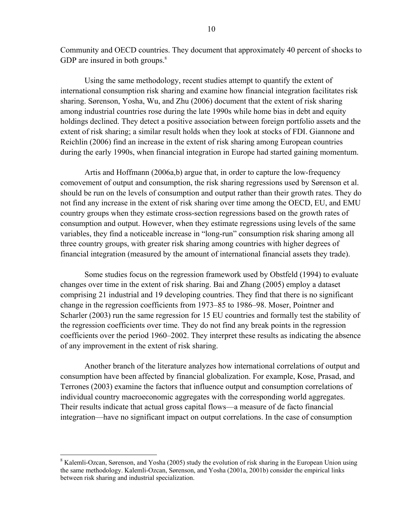Community and OECD countries. They document that approximately 40 percent of shocks to GDP are insured in both groups. $8$ 

Using the same methodology, recent studies attempt to quantify the extent of international consumption risk sharing and examine how financial integration facilitates risk sharing. Sørenson, Yosha, Wu, and Zhu (2006) document that the extent of risk sharing among industrial countries rose during the late 1990s while home bias in debt and equity holdings declined. They detect a positive association between foreign portfolio assets and the extent of risk sharing; a similar result holds when they look at stocks of FDI. Giannone and Reichlin (2006) find an increase in the extent of risk sharing among European countries during the early 1990s, when financial integration in Europe had started gaining momentum.

Artis and Hoffmann (2006a,b) argue that, in order to capture the low-frequency comovement of output and consumption, the risk sharing regressions used by Sørenson et al. should be run on the levels of consumption and output rather than their growth rates. They do not find any increase in the extent of risk sharing over time among the OECD, EU, and EMU country groups when they estimate cross-section regressions based on the growth rates of consumption and output. However, when they estimate regressions using levels of the same variables, they find a noticeable increase in "long-run" consumption risk sharing among all three country groups, with greater risk sharing among countries with higher degrees of financial integration (measured by the amount of international financial assets they trade).

Some studies focus on the regression framework used by Obstfeld (1994) to evaluate changes over time in the extent of risk sharing. Bai and Zhang (2005) employ a dataset comprising 21 industrial and 19 developing countries. They find that there is no significant change in the regression coefficients from 1973–85 to 1986–98. Moser, Pointner and Scharler (2003) run the same regression for 15 EU countries and formally test the stability of the regression coefficients over time. They do not find any break points in the regression coefficients over the period 1960–2002. They interpret these results as indicating the absence of any improvement in the extent of risk sharing.

Another branch of the literature analyzes how international correlations of output and consumption have been affected by financial globalization. For example, Kose, Prasad, and Terrones (2003) examine the factors that influence output and consumption correlations of individual country macroeconomic aggregates with the corresponding world aggregates. Their results indicate that actual gross capital flows—a measure of de facto financial integration—have no significant impact on output correlations. In the case of consumption

<sup>&</sup>lt;sup>8</sup> Kalemli-Ozcan, Sørenson, and Yosha (2005) study the evolution of risk sharing in the European Union using the same methodology. Kalemli-Ozcan, Sørenson, and Yosha (2001a, 2001b) consider the empirical links between risk sharing and industrial specialization.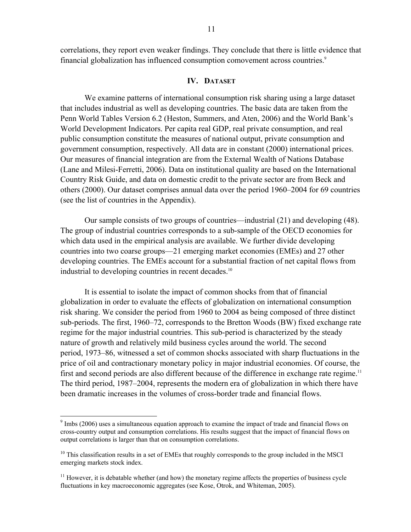correlations, they report even weaker findings. They conclude that there is little evidence that financial globalization has influenced consumption comovement across countries.<sup>9</sup>

#### **IV. DATASET**

We examine patterns of international consumption risk sharing using a large dataset that includes industrial as well as developing countries. The basic data are taken from the Penn World Tables Version 6.2 (Heston, Summers, and Aten, 2006) and the World Bank's World Development Indicators. Per capita real GDP, real private consumption, and real public consumption constitute the measures of national output, private consumption and government consumption, respectively. All data are in constant (2000) international prices. Our measures of financial integration are from the External Wealth of Nations Database (Lane and Milesi-Ferretti, 2006). Data on institutional quality are based on the International Country Risk Guide, and data on domestic credit to the private sector are from Beck and others (2000). Our dataset comprises annual data over the period 1960–2004 for 69 countries (see the list of countries in the Appendix).

Our sample consists of two groups of countries—industrial (21) and developing (48). The group of industrial countries corresponds to a sub-sample of the OECD economies for which data used in the empirical analysis are available. We further divide developing countries into two coarse groups—21 emerging market economies (EMEs) and 27 other developing countries. The EMEs account for a substantial fraction of net capital flows from industrial to developing countries in recent decades.<sup>10</sup>

It is essential to isolate the impact of common shocks from that of financial globalization in order to evaluate the effects of globalization on international consumption risk sharing. We consider the period from 1960 to 2004 as being composed of three distinct sub-periods. The first, 1960–72, corresponds to the Bretton Woods (BW) fixed exchange rate regime for the major industrial countries. This sub-period is characterized by the steady nature of growth and relatively mild business cycles around the world. The second period, 1973–86, witnessed a set of common shocks associated with sharp fluctuations in the price of oil and contractionary monetary policy in major industrial economies. Of course, the first and second periods are also different because of the difference in exchange rate regime.<sup>11</sup> The third period, 1987–2004, represents the modern era of globalization in which there have been dramatic increases in the volumes of cross-border trade and financial flows.

 $9 \text{ Imbs}$  (2006) uses a simultaneous equation approach to examine the impact of trade and financial flows on cross-country output and consumption correlations. His results suggest that the impact of financial flows on output correlations is larger than that on consumption correlations.

 $10$  This classification results in a set of EMEs that roughly corresponds to the group included in the MSCI emerging markets stock index.

 $<sup>11</sup>$  However, it is debatable whether (and how) the monetary regime affects the properties of business cycle</sup> fluctuations in key macroeconomic aggregates (see Kose, Otrok, and Whiteman, 2005).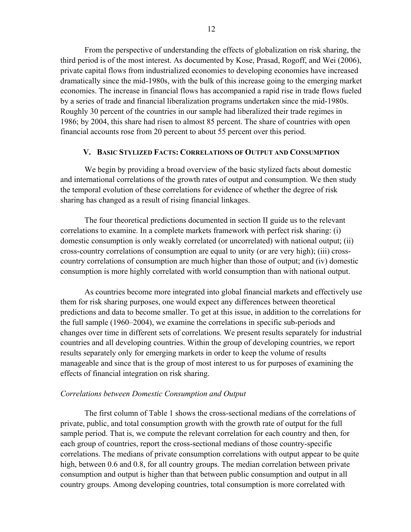From the perspective of understanding the effects of globalization on risk sharing, the third period is of the most interest. As documented by Kose, Prasad, Rogoff, and Wei (2006), private capital flows from industrialized economies to developing economies have increased dramatically since the mid-1980s, with the bulk of this increase going to the emerging market economies. The increase in financial flows has accompanied a rapid rise in trade flows fueled by a series of trade and financial liberalization programs undertaken since the mid-1980s. Roughly 30 percent of the countries in our sample had liberalized their trade regimes in 1986; by 2004, this share had risen to almost 85 percent. The share of countries with open financial accounts rose from 20 percent to about 55 percent over this period.

#### **V. BASIC STYLIZED FACTS: CORRELATIONS OF OUTPUT AND CONSUMPTION**

We begin by providing a broad overview of the basic stylized facts about domestic and international correlations of the growth rates of output and consumption. We then study the temporal evolution of these correlations for evidence of whether the degree of risk sharing has changed as a result of rising financial linkages.

The four theoretical predictions documented in section II guide us to the relevant correlations to examine. In a complete markets framework with perfect risk sharing: (i) domestic consumption is only weakly correlated (or uncorrelated) with national output; (ii) cross-country correlations of consumption are equal to unity (or are very high); (iii) crosscountry correlations of consumption are much higher than those of output; and (iv) domestic consumption is more highly correlated with world consumption than with national output.

As countries become more integrated into global financial markets and effectively use them for risk sharing purposes, one would expect any differences between theoretical predictions and data to become smaller. To get at this issue, in addition to the correlations for the full sample (1960–2004), we examine the correlations in specific sub-periods and changes over time in different sets of correlations. We present results separately for industrial countries and all developing countries. Within the group of developing countries, we report results separately only for emerging markets in order to keep the volume of results manageable and since that is the group of most interest to us for purposes of examining the effects of financial integration on risk sharing.

#### *Correlations between Domestic Consumption and Output*

The first column of Table 1 shows the cross-sectional medians of the correlations of private, public, and total consumption growth with the growth rate of output for the full sample period. That is, we compute the relevant correlation for each country and then, for each group of countries, report the cross-sectional medians of those country-specific correlations. The medians of private consumption correlations with output appear to be quite high, between 0.6 and 0.8, for all country groups. The median correlation between private consumption and output is higher than that between public consumption and output in all country groups. Among developing countries, total consumption is more correlated with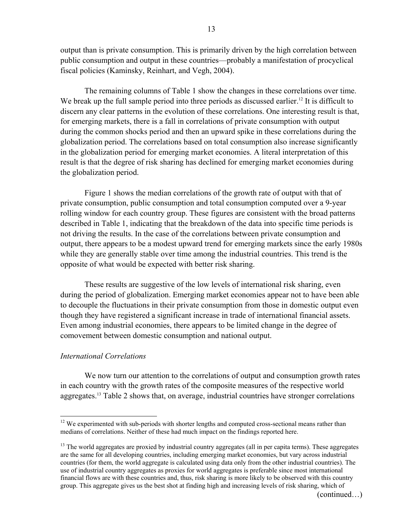output than is private consumption. This is primarily driven by the high correlation between public consumption and output in these countries—probably a manifestation of procyclical fiscal policies (Kaminsky, Reinhart, and Vegh, 2004).

The remaining columns of Table 1 show the changes in these correlations over time. We break up the full sample period into three periods as discussed earlier.<sup>12</sup> It is difficult to discern any clear patterns in the evolution of these correlations. One interesting result is that, for emerging markets, there is a fall in correlations of private consumption with output during the common shocks period and then an upward spike in these correlations during the globalization period. The correlations based on total consumption also increase significantly in the globalization period for emerging market economies. A literal interpretation of this result is that the degree of risk sharing has declined for emerging market economies during the globalization period.

Figure 1 shows the median correlations of the growth rate of output with that of private consumption, public consumption and total consumption computed over a 9-year rolling window for each country group. These figures are consistent with the broad patterns described in Table 1, indicating that the breakdown of the data into specific time periods is not driving the results. In the case of the correlations between private consumption and output, there appears to be a modest upward trend for emerging markets since the early 1980s while they are generally stable over time among the industrial countries. This trend is the opposite of what would be expected with better risk sharing.

These results are suggestive of the low levels of international risk sharing, even during the period of globalization. Emerging market economies appear not to have been able to decouple the fluctuations in their private consumption from those in domestic output even though they have registered a significant increase in trade of international financial assets. Even among industrial economies, there appears to be limited change in the degree of comovement between domestic consumption and national output.

#### *International Correlations*

 $\overline{a}$ 

We now turn our attention to the correlations of output and consumption growth rates in each country with the growth rates of the composite measures of the respective world aggregates.13 Table 2 shows that, on average, industrial countries have stronger correlations

<sup>&</sup>lt;sup>12</sup> We experimented with sub-periods with shorter lengths and computed cross-sectional means rather than medians of correlations. Neither of these had much impact on the findings reported here.

<sup>&</sup>lt;sup>13</sup> The world aggregates are proxied by industrial country aggregates (all in per capita terms). These aggregates are the same for all developing countries, including emerging market economies, but vary across industrial countries (for them, the world aggregate is calculated using data only from the other industrial countries). The use of industrial country aggregates as proxies for world aggregates is preferable since most international financial flows are with these countries and, thus, risk sharing is more likely to be observed with this country group. This aggregate gives us the best shot at finding high and increasing levels of risk sharing, which of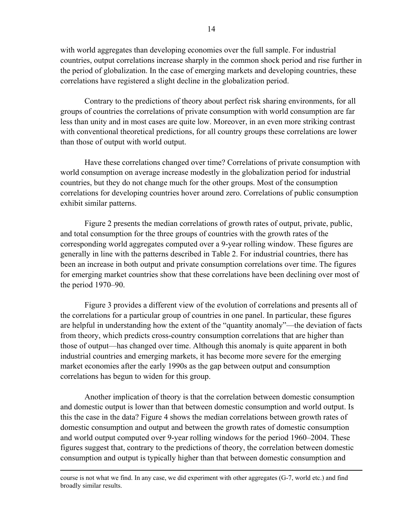with world aggregates than developing economies over the full sample. For industrial countries, output correlations increase sharply in the common shock period and rise further in the period of globalization. In the case of emerging markets and developing countries, these correlations have registered a slight decline in the globalization period.

Contrary to the predictions of theory about perfect risk sharing environments, for all groups of countries the correlations of private consumption with world consumption are far less than unity and in most cases are quite low. Moreover, in an even more striking contrast with conventional theoretical predictions, for all country groups these correlations are lower than those of output with world output.

Have these correlations changed over time? Correlations of private consumption with world consumption on average increase modestly in the globalization period for industrial countries, but they do not change much for the other groups. Most of the consumption correlations for developing countries hover around zero. Correlations of public consumption exhibit similar patterns.

Figure 2 presents the median correlations of growth rates of output, private, public, and total consumption for the three groups of countries with the growth rates of the corresponding world aggregates computed over a 9-year rolling window. These figures are generally in line with the patterns described in Table 2. For industrial countries, there has been an increase in both output and private consumption correlations over time. The figures for emerging market countries show that these correlations have been declining over most of the period 1970–90.

Figure 3 provides a different view of the evolution of correlations and presents all of the correlations for a particular group of countries in one panel. In particular, these figures are helpful in understanding how the extent of the "quantity anomaly"—the deviation of facts from theory, which predicts cross-country consumption correlations that are higher than those of output—has changed over time. Although this anomaly is quite apparent in both industrial countries and emerging markets, it has become more severe for the emerging market economies after the early 1990s as the gap between output and consumption correlations has begun to widen for this group.

Another implication of theory is that the correlation between domestic consumption and domestic output is lower than that between domestic consumption and world output. Is this the case in the data? Figure 4 shows the median correlations between growth rates of domestic consumption and output and between the growth rates of domestic consumption and world output computed over 9-year rolling windows for the period 1960–2004. These figures suggest that, contrary to the predictions of theory, the correlation between domestic consumption and output is typically higher than that between domestic consumption and

course is not what we find. In any case, we did experiment with other aggregates (G-7, world etc.) and find broadly similar results.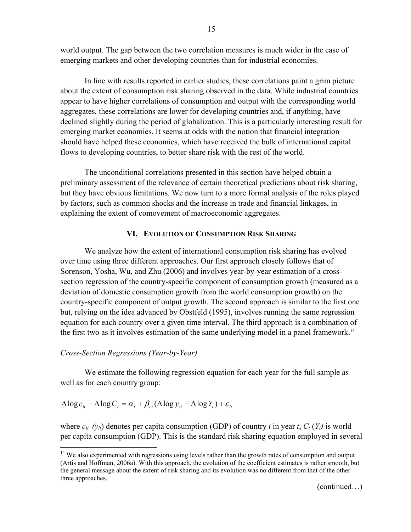world output. The gap between the two correlation measures is much wider in the case of emerging markets and other developing countries than for industrial economies.

In line with results reported in earlier studies, these correlations paint a grim picture about the extent of consumption risk sharing observed in the data. While industrial countries appear to have higher correlations of consumption and output with the corresponding world aggregates, these correlations are lower for developing countries and, if anything, have declined slightly during the period of globalization. This is a particularly interesting result for emerging market economies. It seems at odds with the notion that financial integration should have helped these economies, which have received the bulk of international capital flows to developing countries, to better share risk with the rest of the world.

The unconditional correlations presented in this section have helped obtain a preliminary assessment of the relevance of certain theoretical predictions about risk sharing, but they have obvious limitations. We now turn to a more formal analysis of the roles played by factors, such as common shocks and the increase in trade and financial linkages, in explaining the extent of comovement of macroeconomic aggregates.

#### **VI. EVOLUTION OF CONSUMPTION RISK SHARING**

We analyze how the extent of international consumption risk sharing has evolved over time using three different approaches. Our first approach closely follows that of Sorenson, Yosha, Wu, and Zhu (2006) and involves year-by-year estimation of a crosssection regression of the country-specific component of consumption growth (measured as a deviation of domestic consumption growth from the world consumption growth) on the country-specific component of output growth. The second approach is similar to the first one but, relying on the idea advanced by Obstfeld (1995), involves running the same regression equation for each country over a given time interval. The third approach is a combination of the first two as it involves estimation of the same underlying model in a panel framework.<sup>14</sup>

#### *Cross-Section Regressions (Year-by-Year)*

1

We estimate the following regression equation for each year for the full sample as well as for each country group:

$$
\Delta \log c_{it} - \Delta \log C_t = \alpha_t + \beta_{ct} (\Delta \log y_{it} - \Delta \log Y_t) + \varepsilon_{it}
$$

where  $c_{it}$  ( $y_{it}$ ) denotes per capita consumption (GDP) of country *i* in year *t*,  $C_t(Y_t)$  is world per capita consumption (GDP). This is the standard risk sharing equation employed in several

(continued…)

<sup>&</sup>lt;sup>14</sup> We also experimented with regressions using levels rather than the growth rates of consumption and output (Artis and Hoffman, 2006a). With this approach, the evolution of the coefficient estimates is rather smooth, but the general message about the extent of risk sharing and its evolution was no different from that of the other three approaches.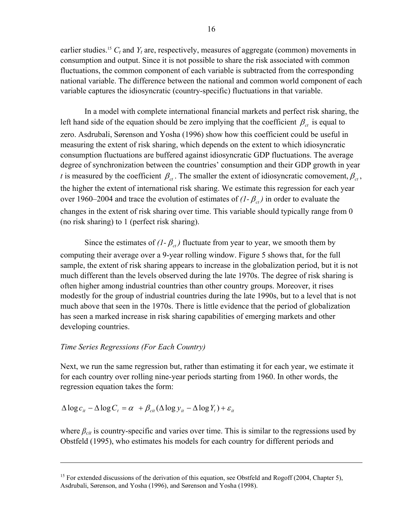earlier studies.<sup>15</sup>  $C_t$  and  $Y_t$  are, respectively, measures of aggregate (common) movements in consumption and output. Since it is not possible to share the risk associated with common fluctuations, the common component of each variable is subtracted from the corresponding national variable. The difference between the national and common world component of each variable captures the idiosyncratic (country-specific) fluctuations in that variable.

In a model with complete international financial markets and perfect risk sharing, the left hand side of the equation should be zero implying that the coefficient  $\beta_{ct}$  is equal to zero. Asdrubali, Sørenson and Yosha (1996) show how this coefficient could be useful in measuring the extent of risk sharing, which depends on the extent to which idiosyncratic consumption fluctuations are buffered against idiosyncratic GDP fluctuations. The average degree of synchronization between the countries' consumption and their GDP growth in year *t* is measured by the coefficient  $\beta_c$ . The smaller the extent of idiosyncratic comovement,  $\beta_c$ , the higher the extent of international risk sharing. We estimate this regression for each year over 1960–2004 and trace the evolution of estimates of  $(I - \beta_{ct})$  in order to evaluate the changes in the extent of risk sharing over time. This variable should typically range from 0 (no risk sharing) to 1 (perfect risk sharing).

Since the estimates of  $(I - \beta_{\alpha})$  fluctuate from year to year, we smooth them by computing their average over a 9-year rolling window. Figure 5 shows that, for the full sample, the extent of risk sharing appears to increase in the globalization period, but it is not much different than the levels observed during the late 1970s. The degree of risk sharing is often higher among industrial countries than other country groups. Moreover, it rises modestly for the group of industrial countries during the late 1990s, but to a level that is not much above that seen in the 1970s. There is little evidence that the period of globalization has seen a marked increase in risk sharing capabilities of emerging markets and other developing countries.

#### *Time Series Regressions (For Each Country)*

 $\overline{a}$ 

Next, we run the same regression but, rather than estimating it for each year, we estimate it for each country over rolling nine-year periods starting from 1960. In other words, the regression equation takes the form:

 $\Delta \log c_i - \Delta \log C_t = \alpha + \beta_{ci} (\Delta \log y_i - \Delta \log Y_t) + \varepsilon_{it}$ 

where  $\beta_{\text{cit}}$  is country-specific and varies over time. This is similar to the regressions used by Obstfeld (1995), who estimates his models for each country for different periods and

<sup>&</sup>lt;sup>15</sup> For extended discussions of the derivation of this equation, see Obstfeld and Rogoff (2004, Chapter 5), Asdrubali, Sørenson, and Yosha (1996), and Sørenson and Yosha (1998).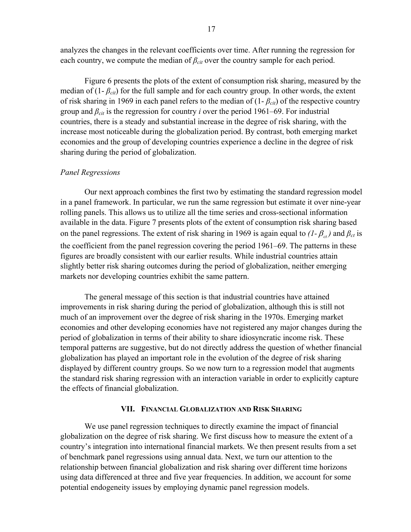analyzes the changes in the relevant coefficients over time. After running the regression for each country, we compute the median of  $\beta_{\text{cit}}$  over the country sample for each period.

Figure 6 presents the plots of the extent of consumption risk sharing, measured by the median of  $(1 - \beta_{\text{cit}})$  for the full sample and for each country group. In other words, the extent of risk sharing in 1969 in each panel refers to the median of (1- *βcit*) of the respective country group and  $\beta_{\text{cit}}$  is the regression for country *i* over the period 1961–69. For industrial countries, there is a steady and substantial increase in the degree of risk sharing, with the increase most noticeable during the globalization period. By contrast, both emerging market economies and the group of developing countries experience a decline in the degree of risk sharing during the period of globalization.

#### *Panel Regressions*

Our next approach combines the first two by estimating the standard regression model in a panel framework. In particular, we run the same regression but estimate it over nine-year rolling panels. This allows us to utilize all the time series and cross-sectional information available in the data. Figure 7 presents plots of the extent of consumption risk sharing based on the panel regressions. The extent of risk sharing in 1969 is again equal to  $(I - \beta_{ct})$  and  $\beta_{ct}$  is the coefficient from the panel regression covering the period 1961–69. The patterns in these figures are broadly consistent with our earlier results. While industrial countries attain slightly better risk sharing outcomes during the period of globalization, neither emerging markets nor developing countries exhibit the same pattern.

The general message of this section is that industrial countries have attained improvements in risk sharing during the period of globalization, although this is still not much of an improvement over the degree of risk sharing in the 1970s. Emerging market economies and other developing economies have not registered any major changes during the period of globalization in terms of their ability to share idiosyncratic income risk. These temporal patterns are suggestive, but do not directly address the question of whether financial globalization has played an important role in the evolution of the degree of risk sharing displayed by different country groups. So we now turn to a regression model that augments the standard risk sharing regression with an interaction variable in order to explicitly capture the effects of financial globalization.

#### **VII. FINANCIAL GLOBALIZATION AND RISK SHARING**

We use panel regression techniques to directly examine the impact of financial globalization on the degree of risk sharing. We first discuss how to measure the extent of a country's integration into international financial markets. We then present results from a set of benchmark panel regressions using annual data. Next, we turn our attention to the relationship between financial globalization and risk sharing over different time horizons using data differenced at three and five year frequencies. In addition, we account for some potential endogeneity issues by employing dynamic panel regression models.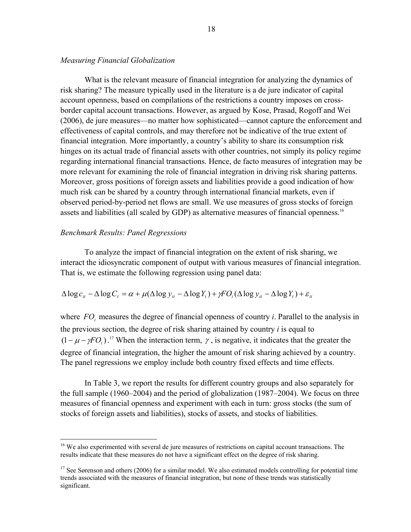#### *Measuring Financial Globalization*

What is the relevant measure of financial integration for analyzing the dynamics of risk sharing? The measure typically used in the literature is a de jure indicator of capital account openness, based on compilations of the restrictions a country imposes on crossborder capital account transactions. However, as argued by Kose, Prasad, Rogoff and Wei (2006), de jure measures—no matter how sophisticated—cannot capture the enforcement and effectiveness of capital controls, and may therefore not be indicative of the true extent of financial integration. More importantly, a country's ability to share its consumption risk hinges on its actual trade of financial assets with other countries, not simply its policy regime regarding international financial transactions. Hence, de facto measures of integration may be more relevant for examining the role of financial integration in driving risk sharing patterns. Moreover, gross positions of foreign assets and liabilities provide a good indication of how much risk can be shared by a country through international financial markets, even if observed period-by-period net flows are small. We use measures of gross stocks of foreign assets and liabilities (all scaled by GDP) as alternative measures of financial openness.<sup>16</sup>

#### *Benchmark Results: Panel Regressions*

 $\overline{a}$ 

To analyze the impact of financial integration on the extent of risk sharing, we interact the idiosyncratic component of output with various measures of financial integration. That is, we estimate the following regression using panel data:

$$
\Delta \log c_{it} - \Delta \log C_t = \alpha + \mu (\Delta \log y_{it} - \Delta \log Y_t) + \gamma F O_i (\Delta \log y_{it} - \Delta \log Y_t) + \varepsilon_{it}
$$

where  $FO_i$  measures the degree of financial openness of country *i*. Parallel to the analysis in the previous section, the degree of risk sharing attained by country *i* is equal to  $(1 - \mu - \gamma FO_i)$ .<sup>17</sup> When the interaction term,  $\gamma$ , is negative, it indicates that the greater the degree of financial integration, the higher the amount of risk sharing achieved by a country. The panel regressions we employ include both country fixed effects and time effects.

In Table 3, we report the results for different country groups and also separately for the full sample (1960–2004) and the period of globalization (1987–2004). We focus on three measures of financial openness and experiment with each in turn: gross stocks (the sum of stocks of foreign assets and liabilities), stocks of assets, and stocks of liabilities.

<sup>&</sup>lt;sup>16</sup> We also experimented with several de jure measures of restrictions on capital account transactions. The results indicate that these measures do not have a significant effect on the degree of risk sharing.

 $17$  See Sørenson and others (2006) for a similar model. We also estimated models controlling for potential time trends associated with the measures of financial integration, but none of these trends was statistically significant.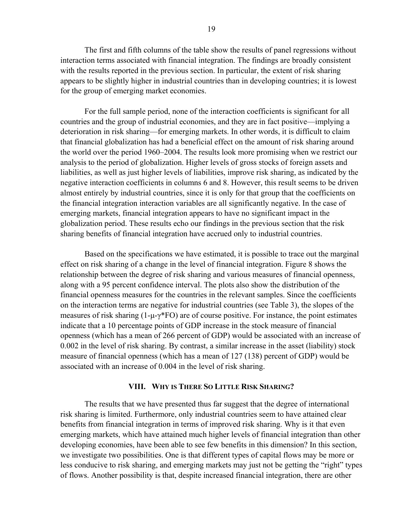The first and fifth columns of the table show the results of panel regressions without interaction terms associated with financial integration. The findings are broadly consistent with the results reported in the previous section. In particular, the extent of risk sharing appears to be slightly higher in industrial countries than in developing countries; it is lowest for the group of emerging market economies.

For the full sample period, none of the interaction coefficients is significant for all countries and the group of industrial economies, and they are in fact positive—implying a deterioration in risk sharing—for emerging markets. In other words, it is difficult to claim that financial globalization has had a beneficial effect on the amount of risk sharing around the world over the period 1960–2004. The results look more promising when we restrict our analysis to the period of globalization. Higher levels of gross stocks of foreign assets and liabilities, as well as just higher levels of liabilities, improve risk sharing, as indicated by the negative interaction coefficients in columns 6 and 8. However, this result seems to be driven almost entirely by industrial countries, since it is only for that group that the coefficients on the financial integration interaction variables are all significantly negative. In the case of emerging markets, financial integration appears to have no significant impact in the globalization period. These results echo our findings in the previous section that the risk sharing benefits of financial integration have accrued only to industrial countries.

Based on the specifications we have estimated, it is possible to trace out the marginal effect on risk sharing of a change in the level of financial integration. Figure 8 shows the relationship between the degree of risk sharing and various measures of financial openness, along with a 95 percent confidence interval. The plots also show the distribution of the financial openness measures for the countries in the relevant samples. Since the coefficients on the interaction terms are negative for industrial countries (see Table 3), the slopes of the measures of risk sharing  $(1-\mu-\gamma)$ <sup>\*</sup>FO) are of course positive. For instance, the point estimates indicate that a 10 percentage points of GDP increase in the stock measure of financial openness (which has a mean of 266 percent of GDP) would be associated with an increase of 0.002 in the level of risk sharing. By contrast, a similar increase in the asset (liability) stock measure of financial openness (which has a mean of 127 (138) percent of GDP) would be associated with an increase of 0.004 in the level of risk sharing.

#### **VIII. WHY IS THERE SO LITTLE RISK SHARING?**

The results that we have presented thus far suggest that the degree of international risk sharing is limited. Furthermore, only industrial countries seem to have attained clear benefits from financial integration in terms of improved risk sharing. Why is it that even emerging markets, which have attained much higher levels of financial integration than other developing economies, have been able to see few benefits in this dimension? In this section, we investigate two possibilities. One is that different types of capital flows may be more or less conducive to risk sharing, and emerging markets may just not be getting the "right" types of flows. Another possibility is that, despite increased financial integration, there are other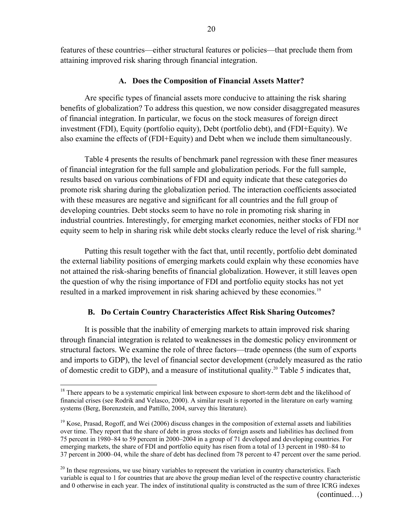features of these countries—either structural features or policies—that preclude them from attaining improved risk sharing through financial integration.

#### **A. Does the Composition of Financial Assets Matter?**

Are specific types of financial assets more conducive to attaining the risk sharing benefits of globalization? To address this question, we now consider disaggregated measures of financial integration. In particular, we focus on the stock measures of foreign direct investment (FDI), Equity (portfolio equity), Debt (portfolio debt), and (FDI+Equity). We also examine the effects of (FDI+Equity) and Debt when we include them simultaneously.

Table 4 presents the results of benchmark panel regression with these finer measures of financial integration for the full sample and globalization periods. For the full sample, results based on various combinations of FDI and equity indicate that these categories do promote risk sharing during the globalization period. The interaction coefficients associated with these measures are negative and significant for all countries and the full group of developing countries. Debt stocks seem to have no role in promoting risk sharing in industrial countries. Interestingly, for emerging market economies, neither stocks of FDI nor equity seem to help in sharing risk while debt stocks clearly reduce the level of risk sharing.<sup>18</sup>

Putting this result together with the fact that, until recently, portfolio debt dominated the external liability positions of emerging markets could explain why these economies have not attained the risk-sharing benefits of financial globalization. However, it still leaves open the question of why the rising importance of FDI and portfolio equity stocks has not yet resulted in a marked improvement in risk sharing achieved by these economies.<sup>19</sup>

#### **B. Do Certain Country Characteristics Affect Risk Sharing Outcomes?**

It is possible that the inability of emerging markets to attain improved risk sharing through financial integration is related to weaknesses in the domestic policy environment or structural factors. We examine the role of three factors—trade openness (the sum of exports and imports to GDP), the level of financial sector development (crudely measured as the ratio of domestic credit to GDP), and a measure of institutional quality.20 Table 5 indicates that,

 $18$  There appears to be a systematic empirical link between exposure to short-term debt and the likelihood of financial crises (see Rodrik and Velasco, 2000). A similar result is reported in the literature on early warning systems (Berg, Borenzstein, and Pattillo, 2004, survey this literature).

 $19$  Kose, Prasad, Rogoff, and Wei (2006) discuss changes in the composition of external assets and liabilities over time. They report that the share of debt in gross stocks of foreign assets and liabilities has declined from 75 percent in 1980–84 to 59 percent in 2000–2004 in a group of 71 developed and developing countries. For emerging markets, the share of FDI and portfolio equity has risen from a total of 13 percent in 1980–84 to 37 percent in 2000–04, while the share of debt has declined from 78 percent to 47 percent over the same period.

 $^{20}$  In these regressions, we use binary variables to represent the variation in country characteristics. Each variable is equal to 1 for countries that are above the group median level of the respective country characteristic and 0 otherwise in each year. The index of institutional quality is constructed as the sum of three ICRG indexes (continued…)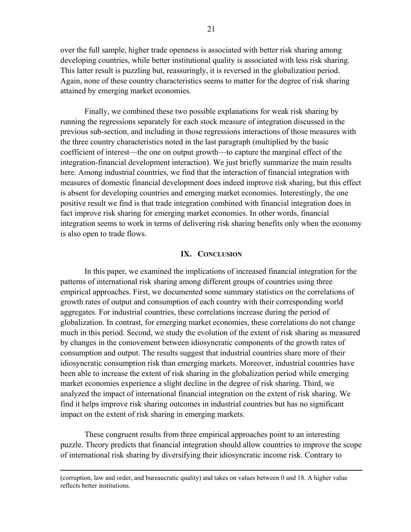over the full sample, higher trade openness is associated with better risk sharing among developing countries, while better institutional quality is associated with less risk sharing. This latter result is puzzling but, reassuringly, it is reversed in the globalization period. Again, none of these country characteristics seems to matter for the degree of risk sharing attained by emerging market economies.

Finally, we combined these two possible explanations for weak risk sharing by running the regressions separately for each stock measure of integration discussed in the previous sub-section, and including in those regressions interactions of those measures with the three country characteristics noted in the last paragraph (multiplied by the basic coefficient of interest—the one on output growth—to capture the marginal effect of the integration-financial development interaction). We just briefly summarize the main results here. Among industrial countries, we find that the interaction of financial integration with measures of domestic financial development does indeed improve risk sharing, but this effect is absent for developing countries and emerging market economies. Interestingly, the one positive result we find is that trade integration combined with financial integration does in fact improve risk sharing for emerging market economies. In other words, financial integration seems to work in terms of delivering risk sharing benefits only when the economy is also open to trade flows.

#### **IX. CONCLUSION**

In this paper, we examined the implications of increased financial integration for the patterns of international risk sharing among different groups of countries using three empirical approaches. First, we documented some summary statistics on the correlations of growth rates of output and consumption of each country with their corresponding world aggregates. For industrial countries, these correlations increase during the period of globalization. In contrast, for emerging market economies, these correlations do not change much in this period. Second, we study the evolution of the extent of risk sharing as measured by changes in the comovement between idiosyncratic components of the growth rates of consumption and output. The results suggest that industrial countries share more of their idiosyncratic consumption risk than emerging markets. Moreover, industrial countries have been able to increase the extent of risk sharing in the globalization period while emerging market economies experience a slight decline in the degree of risk sharing. Third, we analyzed the impact of international financial integration on the extent of risk sharing. We find it helps improve risk sharing outcomes in industrial countries but has no significant impact on the extent of risk sharing in emerging markets.

These congruent results from three empirical approaches point to an interesting puzzle. Theory predicts that financial integration should allow countries to improve the scope of international risk sharing by diversifying their idiosyncratic income risk. Contrary to

 (corruption, law and order, and bureaucratic quality) and takes on values between 0 and 18. A higher value reflects better institutions.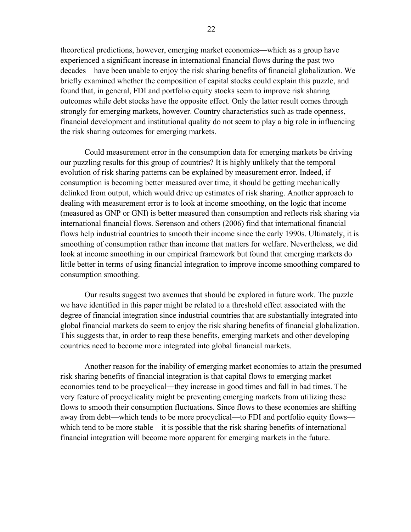theoretical predictions, however, emerging market economies—which as a group have experienced a significant increase in international financial flows during the past two decades—have been unable to enjoy the risk sharing benefits of financial globalization. We briefly examined whether the composition of capital stocks could explain this puzzle, and found that, in general, FDI and portfolio equity stocks seem to improve risk sharing outcomes while debt stocks have the opposite effect. Only the latter result comes through strongly for emerging markets, however. Country characteristics such as trade openness, financial development and institutional quality do not seem to play a big role in influencing the risk sharing outcomes for emerging markets.

Could measurement error in the consumption data for emerging markets be driving our puzzling results for this group of countries? It is highly unlikely that the temporal evolution of risk sharing patterns can be explained by measurement error. Indeed, if consumption is becoming better measured over time, it should be getting mechanically delinked from output, which would drive up estimates of risk sharing. Another approach to dealing with measurement error is to look at income smoothing, on the logic that income (measured as GNP or GNI) is better measured than consumption and reflects risk sharing via international financial flows. Sørenson and others (2006) find that international financial flows help industrial countries to smooth their income since the early 1990s. Ultimately, it is smoothing of consumption rather than income that matters for welfare. Nevertheless, we did look at income smoothing in our empirical framework but found that emerging markets do little better in terms of using financial integration to improve income smoothing compared to consumption smoothing.

Our results suggest two avenues that should be explored in future work. The puzzle we have identified in this paper might be related to a threshold effect associated with the degree of financial integration since industrial countries that are substantially integrated into global financial markets do seem to enjoy the risk sharing benefits of financial globalization. This suggests that, in order to reap these benefits, emerging markets and other developing countries need to become more integrated into global financial markets.

Another reason for the inability of emerging market economies to attain the presumed risk sharing benefits of financial integration is that capital flows to emerging market economies tend to be procyclical—they increase in good times and fall in bad times. The very feature of procyclicality might be preventing emerging markets from utilizing these flows to smooth their consumption fluctuations. Since flows to these economies are shifting away from debt—which tends to be more procyclical—to FDI and portfolio equity flows which tend to be more stable—it is possible that the risk sharing benefits of international financial integration will become more apparent for emerging markets in the future.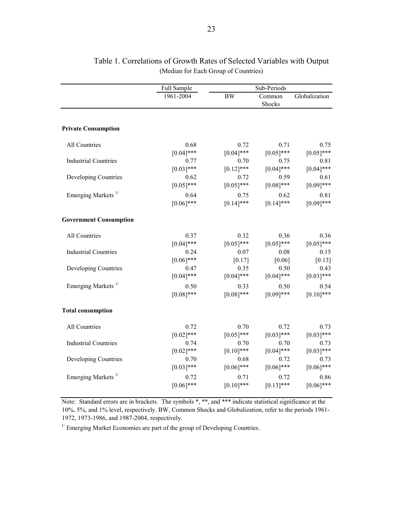|                                | Full Sample          |                      | Sub-Periods          |                      |
|--------------------------------|----------------------|----------------------|----------------------|----------------------|
|                                | 1961-2004            | <b>BW</b>            | Common<br>Shocks     | Globalization        |
|                                |                      |                      |                      |                      |
| <b>Private Consumption</b>     |                      |                      |                      |                      |
| All Countries                  | 0.68                 | 0.72                 | 0.71                 | 0.75                 |
|                                | $[0.04]$ ***         | $[0.04]$ ***         | $[0.05]$ ***         | $[0.05]$ ***         |
| <b>Industrial Countries</b>    | 0.77<br>$[0.03]$ *** | 0.70<br>$[0.12]$ *** | 0.75<br>$[0.04]$ *** | 0.81<br>$[0.04]$ *** |
| Developing Countries           | 0.62                 | 0.72                 | 0.59                 | 0.61                 |
|                                | $[0.05]$ ***         | $[0.05]$ ***         | $[0.08]$ ***         | $[0.09]$ ***         |
| Emerging Markets <sup>1/</sup> | 0.64                 | 0.75                 | 0.62                 | 0.81                 |
|                                | $[0.06]$ ***         | $[0.14]$ ***         | $[0.14]$ ***         | $[0.09]$ ***         |
| <b>Government Consumption</b>  |                      |                      |                      |                      |
| All Countries                  | 0.37                 | 0.32                 | 0.36                 | 0.36                 |
|                                | $[0.04]$ ***         | $[0.05]$ ***         | $[0.05]$ ***         | $[0.05]$ ***         |
| <b>Industrial Countries</b>    | 0.24                 | 0.07                 | 0.08                 | 0.15                 |
|                                | $[0.06]$ ***         | $[0.17]$             | [0.06]               | [0.13]               |
| Developing Countries           | 0.47<br>$[0.04]$ *** | 0.35<br>$[0.04]$ *** | 0.50<br>$[0.04]$ *** | 0.43<br>$[0.03]***$  |
| Emerging Markets <sup>1/</sup> | 0.50                 | 0.33                 | 0.50                 | 0.54                 |
|                                | $[0.08]$ ***         | $[0.08]$ ***         | $[0.09]$ ***         | $[0.10]$ ***         |
| <b>Total consumption</b>       |                      |                      |                      |                      |
| All Countries                  | 0.72                 | 0.70                 | 0.72                 | 0.73                 |
|                                | $[0.02]$ ***         | $[0.05]$ ***         | $[0.03]***$          | $[0.03]$ ***         |
| <b>Industrial Countries</b>    | 0.74                 | 0.70                 | 0.70                 | 0.73                 |
|                                | $[0.02]$ ***         | $[0.10]$ ***         | $[0.04]$ ***         | $[0.03]***$          |
| Developing Countries           | 0.70<br>$[0.03]$ *** | 0.68<br>$[0.06]$ *** | 0.72<br>$[0.06]$ *** | 0.73<br>$[0.06]$ *** |
|                                |                      |                      |                      |                      |
| Emerging Markets <sup>1/</sup> | 0.72<br>$[0.06]$ *** | 0.71<br>$[0.10]$ *** | 0.72<br>$[0.13]$ *** | 0.86<br>$[0.06]$ *** |
|                                |                      |                      |                      |                      |

## Table 1. Correlations of Growth Rates of Selected Variables with Output (Median for Each Group of Countries)

Note: Standard errors are in brackets. The symbols \*, \*\*, and \*\*\* indicate statistical significance at the 10%, 5%, and 1% level, respectively. BW, Common Shocks and Globalization, refer to the periods 1961- 1972, 1973-1986, and 1987-2004, respectively.

 $^{1/}$  Emerging Market Economies are part of the group of Developing Countries.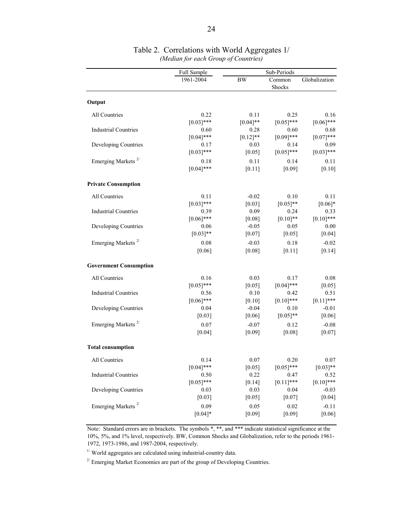|                                | Full Sample  | Sub-Periods |                  |               |  |
|--------------------------------|--------------|-------------|------------------|---------------|--|
|                                | 1961-2004    | <b>BW</b>   | Common<br>Shocks | Globalization |  |
| Output                         |              |             |                  |               |  |
| All Countries                  | 0.22         | 0.11        | 0.25             | 0.16          |  |
|                                | $[0.03]***$  | $[0.04]$ ** | $[0.05]***$      | $[0.06]$ ***  |  |
| <b>Industrial Countries</b>    | 0.60         | 0.28        | 0.60             | 0.68          |  |
|                                | $[0.04]$ *** | $[0.12]$ ** | $[0.09]$ ***     | $[0.07]***$   |  |
| Developing Countries           | 0.17         | 0.03        | 0.14             | 0.09          |  |
|                                | $[0.03]$ *** | [0.05]      | $[0.05]$ ***     | $[0.03]$ ***  |  |
| Emerging Markets <sup>2/</sup> | 0.18         | 0.11        | 0.14             | 0.11          |  |
|                                | $[0.04]$ *** | $[0.11]$    | [0.09]           | [0.10]        |  |
| <b>Private Consumption</b>     |              |             |                  |               |  |
| All Countries                  | 0.11         | $-0.02$     | 0.10             | 0.11          |  |
|                                | $[0.03]$ *** | [0.03]      | $[0.05]$ **      | $[0.06]*$     |  |
| <b>Industrial Countries</b>    | 0.39         | 0.09        | 0.24             | 0.33          |  |
|                                | $[0.06]$ *** | [0.08]      | $[0.10]$ **      | $[0.10]$ ***  |  |
| Developing Countries           | 0.06         | $-0.05$     | 0.05             | 0.00          |  |
|                                | $[0.03]$ **  | [0.07]      | [0.05]           | [0.04]        |  |
| Emerging Markets <sup>2/</sup> | 0.08         | $-0.03$     | 0.18             | $-0.02$       |  |
|                                | [0.06]       | [0.08]      | [0.11]           | $[0.14]$      |  |
| <b>Government Consumption</b>  |              |             |                  |               |  |
| All Countries                  | 0.16         | 0.03        | 0.17             | 0.08          |  |
|                                | $[0.05]$ *** | [0.05]      | $[0.04]$ ***     | [0.05]        |  |
| <b>Industrial Countries</b>    | 0.56         | 0.10        | 0.42             | 0.51          |  |
|                                | $[0.06]$ *** | $[0.10]$    | $[0.10]$ ***     | $[0.11]$ ***  |  |
| Developing Countries           | 0.04         | $-0.04$     | 0.10             | $-0.01$       |  |
|                                | [0.03]       | [0.06]      | $[0.05]$ **      | [0.06]        |  |
| Emerging Markets <sup>2/</sup> | 0.07         | $-0.07$     | 0.12             | $-0.08$       |  |
|                                | [0.04]       | [0.09]      | [0.08]           | [0.07]        |  |
| <b>Total consumption</b>       |              |             |                  |               |  |
| All Countries                  | 0.14         | 0.07        | 0.20             | 0.07          |  |
|                                | $[0.04]$ *** | [0.05]      | $[0.05]$ ***     | $[0.03]**$    |  |
| <b>Industrial Countries</b>    | 0.50         | 0.22        | 0.47             | 0.52          |  |
|                                | $[0.05]$ *** | $[0.14]$    | $[0.11]$ ***     | $[0.10]$ ***  |  |
| Developing Countries           | 0.03         | 0.03        | 0.04             | $-0.03$       |  |
|                                | $[0.03]$     | $[0.05]$    | $[0.07]$         | $[0.04]$      |  |
| Emerging Markets <sup>2/</sup> | 0.09         | 0.05        | 0.02             | $-0.11$       |  |
|                                | $[0.04]*$    | [0.09]      | $[0.09]$         | $[0.06]$      |  |

#### Table 2. Correlations with World Aggregates 1/ *(Median for each Group of Countries)*

Note: Standard errors are in brackets. The symbols \*, \*\*, and \*\*\* indicate statistical significance at the 10%, 5%, and 1% level, respectively. BW, Common Shocks and Globalization, refer to the periods 1961- 1972, 1973-1986, and 1987-2004, respectively.

 $^{1\prime}$  World aggregates are calculated using industrial-country data.

 $^{2\prime}$  Emerging Market Economies are part of the group of Developing Countries.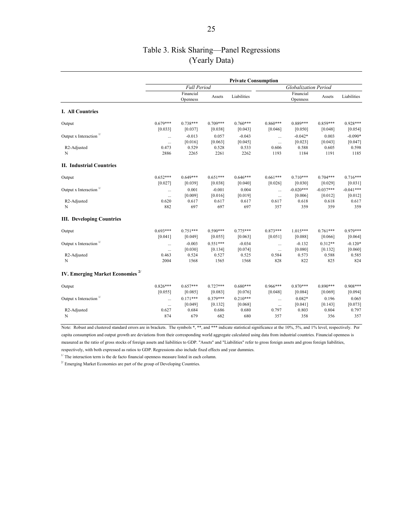## Table 3. Risk Sharing—Panel Regressions (Yearly Data)

|                                             | <b>Private Consumption</b> |                                  |                                  |                                  |                          |                                |                             |                             |
|---------------------------------------------|----------------------------|----------------------------------|----------------------------------|----------------------------------|--------------------------|--------------------------------|-----------------------------|-----------------------------|
|                                             | <b>Full Period</b>         |                                  |                                  |                                  | Globalization Period     |                                |                             |                             |
|                                             |                            | Financial<br>Openness            | Assets                           | Liabilities                      |                          | Financial<br>Openness          | Assets                      | Liabilities                 |
| I. All Countries                            |                            |                                  |                                  |                                  |                          |                                |                             |                             |
| Output                                      | $0.679***$<br>[0.033]      | $0.738***$<br>[0.037]            | $0.709***$<br>[0.038]            | $0.760***$<br>[0.043]            | $0.860***$<br>[0.046]    | $0.889***$<br>[0.050]          | $0.859***$<br>[0.048]       | $0.928***$<br>[0.054]       |
| Output x Interaction $\frac{1}{1}$          | $\cdots$<br>$\cdots$       | $-0.013$<br>[0.016]              | 0.057<br>[0.063]                 | $-0.043$<br>[0.045]              | $\cdots$<br>$\cdots$     | $-0.042*$<br>[0.023]           | 0.003<br>[0.043]            | $-0.090*$<br>[0.047]        |
| R <sub>2</sub> -Adjusted<br>N               | 0.473<br>2886              | 0.529<br>2265                    | 0.528<br>2261                    | 0.533<br>2262                    | 0.606<br>1193            | 0.588<br>1184                  | 0.605<br>1191               | 0.598<br>1185               |
| <b>II. Industrial Countries</b>             |                            |                                  |                                  |                                  |                          |                                |                             |                             |
| Output                                      | $0.652***$<br>[0.027]      | $0.649***$<br>[0.039]            | $0.651***$<br>[0.038]            | $0.646***$<br>[0.040]            | $0.661***$<br>[0.026]    | $0.710***$<br>[0.030]          | $0.704***$<br>[0.029]       | $0.716***$<br>[0.031]       |
| Output x Interaction $\frac{1}{1}$          | $\cdots$<br>$\cdots$       | 0.001<br>[0.009]                 | $-0.001$<br>[0.016]              | 0.004<br>[0.019]                 | $\cdots$<br>$\ldots$     | $-0.020***$<br>[0.006]         | $-0.037***$<br>[0.012]      | $-0.041***$<br>[0.012]      |
| R <sub>2</sub> -Adjusted<br>N               | 0.620<br>882               | 0.617<br>697                     | 0.617<br>697                     | 0.617<br>697                     | 0.617<br>357             | 0.618<br>359                   | 0.618<br>359                | 0.617<br>359                |
| <b>III.</b> Developing Countries            |                            |                                  |                                  |                                  |                          |                                |                             |                             |
| Output                                      | $0.693***$<br>[0.041]      | $0.751***$<br>[0.049]            | $0.590***$<br>[0.055]            | $0.775***$<br>[0.063]            | $0.873***$<br>[0.051]    | 1.015***<br>[0.088]            | $0.761***$<br>[0.066]       | $0.979***$<br>[0.064]       |
| Output x Interaction $1/$                   | $\cdots$<br>$\cdots$       | $-0.003$<br>[0.030]              | $0.551***$<br>[0.134]            | $-0.034$<br>[0.074]              | $\cdots$<br>$\cdots$     | $-0.132$<br>[0.080]            | $0.312**$<br>[0.132]        | $-0.120*$<br>[0.060]        |
| R <sub>2</sub> -Adjusted<br>N               | 0.463<br>2004              | 0.524<br>1568                    | 0.527<br>1565                    | 0.525<br>1568                    | 0.584<br>828             | 0.573<br>822                   | 0.588<br>825                | 0.585<br>824                |
| IV. Emerging Market Economies <sup>2/</sup> |                            |                                  |                                  |                                  |                          |                                |                             |                             |
| Output                                      | $0.826***$                 | $0.657***$                       | $0.727***$                       | $0.680***$                       | $0.966***$               | $0.870***$                     | $0.890***$                  | $0.908***$                  |
| Output x Interaction $\frac{1}{1}$          | [0.055]<br>$\cdots$        | [0.085]<br>$0.171***$<br>[0.049] | [0.083]<br>$0.379***$<br>[0.132] | [0.076]<br>$0.210***$<br>[0.068] | [0.048]<br>$\cdots$      | [0.084]<br>$0.082*$<br>[0.041] | [0.069]<br>0.196<br>[0.143] | [0.094]<br>0.065<br>[0.073] |
| R2-Adjusted<br>N                            | $\cdots$<br>0.627<br>874   | 0.684<br>679                     | 0.686<br>682                     | 0.680<br>680                     | $\cdots$<br>0.797<br>357 | 0.803<br>358                   | 0.804<br>356                | 0.797<br>357                |

Note: Robust and clustered standard errors are in brackets. The symbols \*, \*\*, and \*\*\* indicate statistical significance at the 10%, 5%, and 1% level, respectively. Per capita consumption and output growth are deviations from their corresponding world aggregate calculated using data from industrial countries. Financial openness is

measured as the ratio of gross stocks of foreign assets and liabilities to GDP. "Assets" and "Liabilities" refer to gross foreign assets and gross foreign liabilities,

respectively, with both expressed as ratios to GDP. Regressions also include fixed effects and year dummies.

 $1/$  The interaction term is the de facto financial openness measure listed in each column.

 $^{2\prime}$  Emerging Market Economies are part of the group of Developing Countries.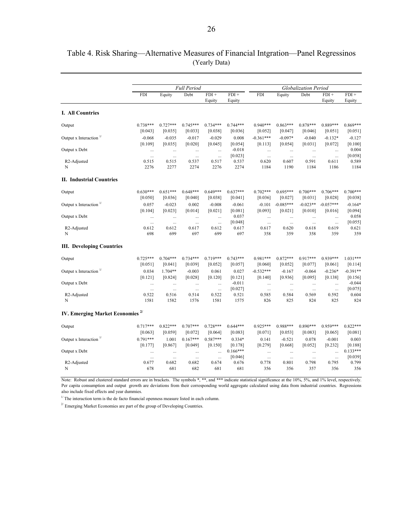|                                             |            | Full Period |            |                   | Globalization Period |             |             |            |                   |                   |
|---------------------------------------------|------------|-------------|------------|-------------------|----------------------|-------------|-------------|------------|-------------------|-------------------|
|                                             | <b>FDI</b> | Equity      | Debt       | $FDI +$<br>Equity | $FDI +$<br>Equity    | <b>FDI</b>  | Equity      | Debt       | $FDI +$<br>Equity | $FDI +$<br>Equity |
| I. All Countries                            |            |             |            |                   |                      |             |             |            |                   |                   |
| Output                                      | $0.738***$ | $0.727***$  | $0.745***$ | $0.734***$        | $0.744***$           | $0.940***$  | $0.863***$  | $0.878***$ | 0.889***          | $0.869***$        |
|                                             | [0.043]    | [0.035]     | [0.033]    | [0.038]           | [0.036]              | [0.052]     | [0.047]     | [0.046]    | [0.051]           | [0.051]           |
| Output x Interaction $\frac{1}{1}$          | $-0.068$   | $-0.035$    | $-0.017$   | $-0.029$          | 0.008                | $-0.361***$ | $-0.097*$   | $-0.040$   | $-0.132*$         | $-0.127$          |
|                                             | [0.109]    | [0.035]     | [0.020]    | [0.045]           | [0.054]              | [0.113]     | [0.054]     | [0.031]    | [0.072]           | [0.100]           |
| Output x Debt                               | $\cdots$   | $\cdots$    | $\cdots$   | $\cdots$          | $-0.018$             | $\ddotsc$   | $\cdots$    | $\cdots$   | $\ddotsc$         | 0.004             |
|                                             | $\ldots$   | $\ldots$    | $\ldots$   | $\ldots$          | [0.023]              | $\dots$     | $\ldots$    | $\ldots$   | $\ddotsc$         | [0.058]           |
| R <sub>2</sub> -Adjusted                    | 0.515      | 0.515       | 0.537      | 0.517             | 0.537                | 0.620       | 0.607       | 0.591      | 0.611             | 0.589             |
| N                                           | 2276       | 2277        | 2274       | 2276              | 2274                 | 1184        | 1190        | 1184       | 1186              | 1184              |
| <b>II. Industrial Countries</b>             |            |             |            |                   |                      |             |             |            |                   |                   |
| Output                                      | $0.630***$ | $0.651***$  | $0.648***$ | $0.649***$        | $0.637***$           | $0.702***$  | $0.695***$  | $0.700***$ | $0.706***$        | $0.700***$        |
|                                             | [0.050]    | [0.036]     | [0.040]    | [0.038]           | [0.041]              | [0.036]     | [0.027]     | [0.031]    | [0.028]           | [0.038]           |
| Output x Interaction $\frac{1}{1}$          | 0.057      | $-0.023$    | 0.002      | $-0.008$          | $-0.061$             | $-0.101$    | $-0.085***$ | $-0.023**$ | $-0.057***$       | $-0.164*$         |
|                                             | [0.104]    | [0.023]     | [0.014]    | [0.021]           | [0.081]              | [0.093]     | [0.021]     | [0.010]    | [0.016]           | [0.094]           |
| Output x Debt                               | $\cdots$   | $\cdots$    | $\cdots$   | $\ddots$          | 0.037                | $\cdots$    | $\ldots$    | $\ldots$   | $\cdots$          | 0.058             |
|                                             | $\ldots$   | $\ldots$    | $\ldots$   | $\ldots$          | [0.048]              | $\ldots$    | $\ldots$    | $\ldots$   | $\cdots$          | [0.055]           |
| R <sub>2</sub> -Adjusted                    | 0.612      | 0.612       | 0.617      | 0.612             | 0.617                | 0.617       | 0.620       | 0.618      | 0.619             | 0.621             |
| N                                           | 698        | 699         | 697        | 699               | 697                  | 358         | 359         | 358        | 359               | 359               |
| <b>III.</b> Developing Countries            |            |             |            |                   |                      |             |             |            |                   |                   |
| Output                                      | $0.725***$ | $0.704***$  | $0.734***$ | $0.719***$        | $0.743***$           | $0.981***$  | $0.872***$  | $0.917***$ | $0.939***$        | $1.031***$        |
|                                             | [0.051]    | [0.041]     | [0.039]    | [0.052]           | [0.057]              | [0.060]     | [0.052]     | [0.077]    | [0.061]           | [0.114]           |
| Output x Interaction $\frac{1}{1}$          | 0.034      | $1.704**$   | $-0.003$   | 0.061             | 0.027                | $-0.532***$ | $-0.167$    | $-0.064$   | $-0.236*$         | $-0.391**$        |
|                                             | [0.121]    | [0.824]     | [0.028]    | [0.120]           | [0.121]              | [0.140]     | [0.936]     | [0.095]    | [0.138]           | [0.156]           |
| Output x Debt                               | $\ldots$   | $\ldots$    | $\cdots$   | $\cdots$          | $-0.011$             | $\cdots$    | $\ldots$    | $\cdots$   | $\ddotsc$         | $-0.044$          |
|                                             | $\cdots$   | $\ldots$    | $\ldots$   | $\ddotsc$         | [0.027]              | $\cdots$    | $\ldots$    | $\cdots$   | $\ddotsc$         | [0.075]           |
| R <sub>2</sub> -Adjusted                    | 0.522      | 0.516       | 0.514      | 0.522             | 0.521                | 0.585       | 0.584       | 0.569      | 0.592             | 0.604             |
| N                                           | 1581       | 1582        | 1576       | 1581              | 1575                 | 826         | 825         | 824        | 825               | 824               |
| IV. Emerging Market Economies <sup>2/</sup> |            |             |            |                   |                      |             |             |            |                   |                   |
| Output                                      | $0.717***$ | $0.822***$  | $0.707***$ | $0.728***$        | $0.644***$           | $0.925***$  | 0.988***    | $0.890***$ | $0.959***$        | $0.822***$        |
|                                             | [0.063]    | [0.059]     | [0.072]    | [0.064]           | [0.083]              | [0.071]     | [0.053]     | [0.083]    | [0.065]           | [0.081]           |
| Output x Interaction $1/$                   | $0.791***$ | 1.001       | $0.167***$ | $0.587***$        | $0.334*$             | 0.141       | $-0.521$    | 0.078      | $-0.001$          | 0.003             |
|                                             | [0.177]    | [0.867]     | [0.049]    | [0.150]           | [0.178]              | [0.279]     | [0.668]     | [0.052]    | [0.232]           | [0.188]           |
| Output x Debt                               | $\cdots$   | $\ldots$    | $\cdots$   | $\ddotsc$         | $0.166***$           | $\ldots$    | $\ldots$    | $\cdots$   | $\ddotsc$         | $0.133***$        |
|                                             | $\ldots$   | $\cdots$    | $\ldots$   | $\cdots$          | [0.046]              | $\ldots$    | $\cdots$    | $\ldots$   | $\cdots$          | [0.039]           |
| R <sub>2</sub> -Adjusted                    | 0.677      | 0.682       | 0.682      | 0.674             | 0.676                | 0.778       | 0.801       | 0.798      | 0.795             | 0.799             |
| N                                           | 678        | 681         | 682        | 681               | 681                  | 356         | 356         | 357        | 356               | 356               |

## Table 4. Risk Sharing—Alternative Measures of Financial Intgration—Panel Regressinos (Yearly Data)

Per capita consumption and output growth are deviations from their corresponding world aggregate calculated using data from industrial countries. Regressions also include fixed effects and year dummies.

 $1/$  The interaction term is the de facto financial openness measure listed in each column.

 $^{2\prime}$  Emerging Market Economies are part of the group of Developing Countries.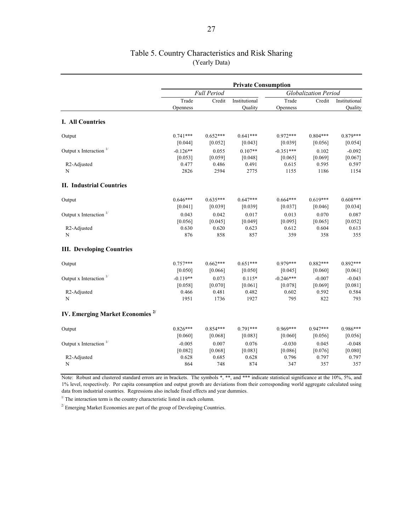|                                             | <b>Private Consumption</b> |            |                          |                      |            |                          |  |
|---------------------------------------------|----------------------------|------------|--------------------------|----------------------|------------|--------------------------|--|
|                                             | Full Period                |            |                          | Globalization Period |            |                          |  |
|                                             | Trade<br>Openness          | Credit     | Institutional<br>Quality | Trade<br>Openness    | Credit     | Institutional<br>Quality |  |
| <b>I. All Countries</b>                     |                            |            |                          |                      |            |                          |  |
| Output                                      | $0.741***$                 | $0.652***$ | $0.641***$               | $0.972***$           | $0.804***$ | $0.879***$               |  |
|                                             | [0.044]                    | [0.052]    | [0.043]                  | [0.039]              | [0.056]    | [0.054]                  |  |
| Output x Interaction <sup>1/</sup>          | $-0.126**$                 | 0.055      | $0.107**$                | $-0.351***$          | 0.102      | $-0.092$                 |  |
|                                             | [0.053]                    | $[0.059]$  | [0.048]                  | [0.065]              | [0.069]    | [0.067]                  |  |
| R <sub>2</sub> -Adjusted                    | 0.477                      | 0.486      | 0.491                    | 0.615                | 0.595      | 0.597                    |  |
| N                                           | 2826                       | 2594       | 2775                     | 1155                 | 1186       | 1154                     |  |
| <b>II. Industrial Countries</b>             |                            |            |                          |                      |            |                          |  |
| Output                                      | $0.646***$                 | $0.635***$ | $0.647***$               | $0.664***$           | $0.619***$ | $0.608***$               |  |
|                                             | [0.041]                    | [0.039]    | [0.039]                  | [0.037]              | [0.046]    | [0.034]                  |  |
| Output x Interaction <sup>1/</sup>          | 0.043                      | 0.042      | 0.017                    | 0.013                | 0.070      | 0.087                    |  |
|                                             | [0.056]                    | [0.045]    | [0.049]                  | [0.095]              | [0.065]    | [0.052]                  |  |
| R <sub>2</sub> -Adjusted                    | 0.630                      | 0.620      | 0.623                    | 0.612                | 0.604      | 0.613                    |  |
| N                                           | 876                        | 858        | 857                      | 359                  | 358        | 355                      |  |
| <b>III. Developing Countries</b>            |                            |            |                          |                      |            |                          |  |
| Output                                      | $0.757***$                 | $0.662***$ | $0.651***$               | $0.979***$           | $0.882***$ | $0.892***$               |  |
|                                             | [0.050]                    | [0.066]    | [0.050]                  | [0.045]              | $[0.060]$  | $[0.061]$                |  |
| Output x Interaction $\frac{1}{1}$          | $-0.119**$                 | 0.073      | $0.115*$                 | $-0.246***$          | $-0.007$   | $-0.043$                 |  |
|                                             | [0.058]                    | [0.070]    | [0.061]                  | [0.078]              | [0.069]    | [0.081]                  |  |
| R <sub>2</sub> -Adjusted                    | 0.466                      | 0.481      | 0.482                    | 0.602                | 0.592      | 0.584                    |  |
| N                                           | 1951                       | 1736       | 1927                     | 795                  | 822        | 793                      |  |
| IV. Emerging Market Economies <sup>2/</sup> |                            |            |                          |                      |            |                          |  |
| Output                                      | $0.826***$                 | $0.854***$ | $0.791***$               | $0.969***$           | $0.947***$ | $0.986***$               |  |
|                                             | [0.060]                    | [0.068]    | [0.083]                  | [0.060]              | [0.056]    | [0.056]                  |  |
| Output x Interaction $1/$                   | $-0.005$                   | 0.007      | 0.076                    | $-0.030$             | 0.045      | $-0.048$                 |  |
|                                             | [0.082]                    | [0.068]    | [0.083]                  | [0.086]              | [0.076]    | [0.080]                  |  |
| R2-Adjusted                                 | 0.628                      | 0.685      | 0.628                    | 0.796                | 0.797      | 0.797                    |  |
| N                                           | 864                        | 748        | 874                      | 347                  | 357        | 357                      |  |

## Table 5. Country Characteristics and Risk Sharing (Yearly Data)

Note: Robust and clustered standard errors are in brackets. The symbols \*, \*\*, and \*\*\* indicate statistical significance at the 10%, 5%, and 1% level, respectively. Per capita consumption and output growth are deviations from their corresponding world aggregate calculated using data from industrial countries. Regressions also include fixed effects and year dummies.

 $1/T$  The interaction term is the country characteristic listed in each column.

 $2^{2}$  Emerging Market Economies are part of the group of Developing Countries.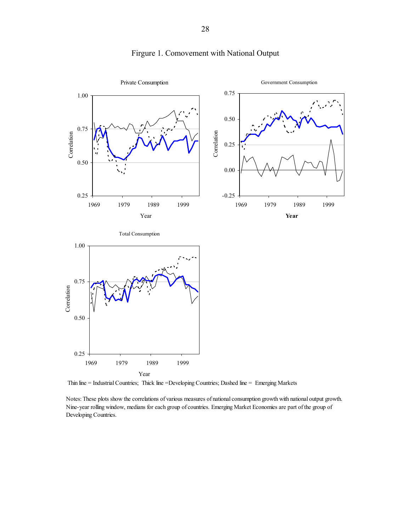

## Firgure 1. Comovement with National Output

Thin line = Industrial Countries; Thick line = Developing Countries; Dashed line = Emerging Markets

Notes: These plots show the correlations of various measures of national consumption growth with national output growth. Nine-year rolling window, medians for each group of countries. Emerging Market Economies are part of the group of Developing Countries.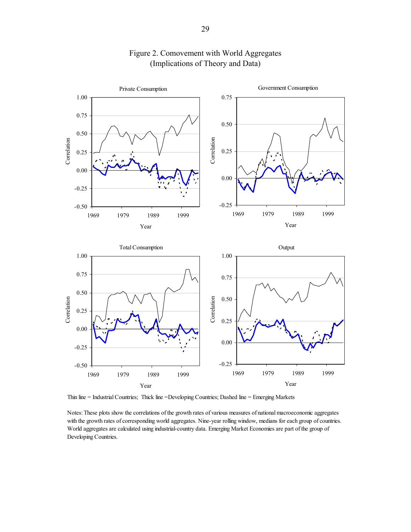

## Figure 2. Comovement with World Aggregates (Implications of Theory and Data)

-0.50 -0.25 0.00 1969 1979 1989 1999 Year -0.25 0.00 1969 1979 1989 1999 Year

Thin line = Industrial Countries; Thick line =Developing Countries; Dashed line = Emerging Markets

Notes: These plots show the correlations of the growth rates of various measures of national macroeconomic aggregates with the growth rates of corresponding world aggregates. Nine-year rolling window, medians for each group of countries. World aggregates are calculated using industrial-country data. Emerging Market Economies are part of the group of Developing Countries.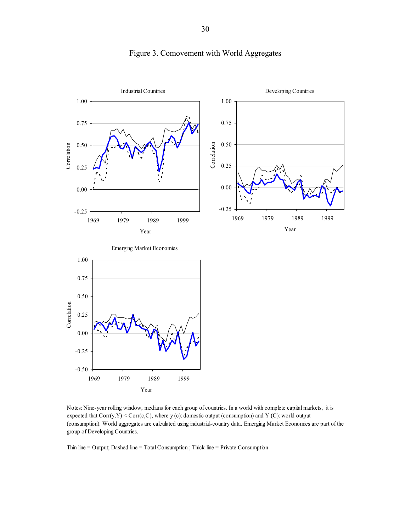

## Figure 3. Comovement with World Aggregates

Notes: Nine-year rolling window, medians for each group of countries. In a world with complete capital markets, it is expected that  $Corr(y, Y) \leq Corr(c, C)$ , where y (c): domestic output (consumption) and Y (C): world output (consumption). World aggregates are calculated using industrial-country data. Emerging Market Economies are part of the group of Developing Countries.

Thin line = Output; Dashed line = Total Consumption ; Thick line = Private Consumption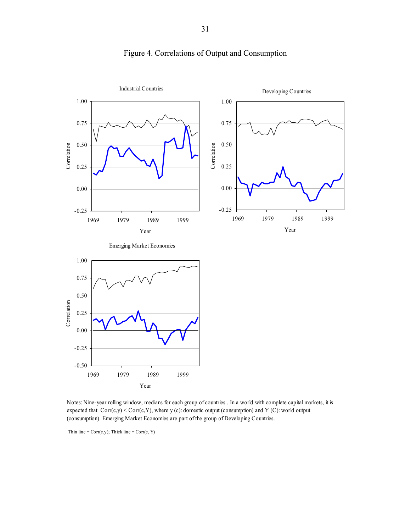

## Figure 4. Correlations of Output and Consumption

Notes: Nine-year rolling window, medians for each group of countries . In a world with complete capital markets, it is expected that  $Corr(c,y) < Corr(c,Y)$ , where y (c): domestic output (consumption) and Y (C): world output (consumption). Emerging Market Economies are part of the group of Developing Countries.

Thin line =  $Corr(c, y)$ ; Thick line =  $Corr(c, Y)$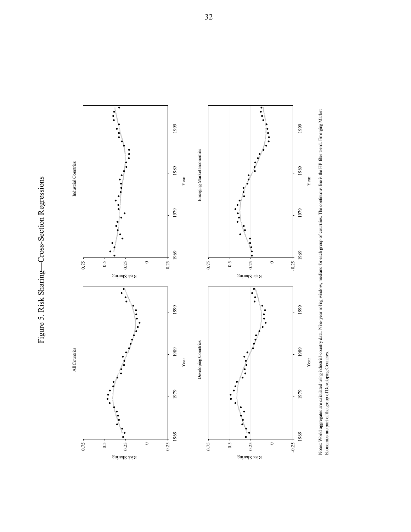Figure 5. Risk Sharing-Cross-Section Regressions Figure 5. Risk Sharing—Cross-Section Regressions



Notes: World aggregates are calculated using industrial-country data. Nine-year rolling window, medians for each group of countries. The continuous line is the HP fiter trend. Emerging Market<br>Economies are part of the grou Notes: World aggregates are calculated using industrial-country data. Nine-year rolling window, medians for each group of countries. The continuous line is the HP filter trend. Emerging Market Economies are part of the group of Developing Countries.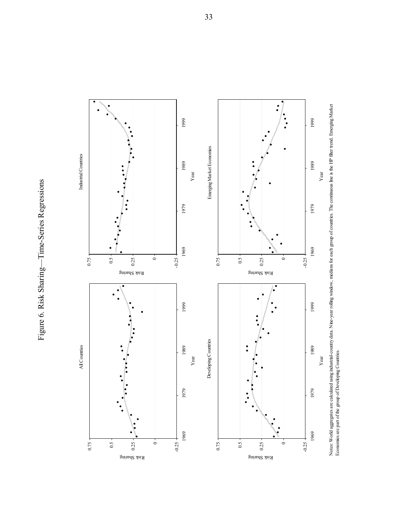Figure 6. Risk Sharing-Time-Series Regressions Figure 6. Risk Sharing—Time-Series Regressions



Notes: World aggregates are calculated using industrial-country data. Nine-year rolling window, medians for each group of countries. The continuous line is the HP filter trend. Emerging Market<br>Economies are part of the gro Notes: World aggregates are calculated using industrial-country data. Nine-year rolling window, medians for each group of countries. The continuous line is the HP filter trend. Emerging Market Economies are part of the group of Developing Countries.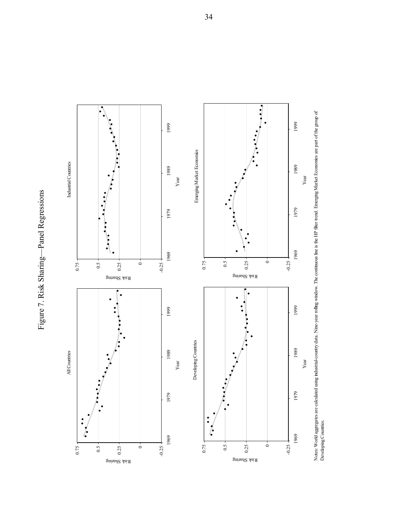Figure 7. Risk Sharing-Panel Regressions Figure 7. Risk Sharing—Panel Regressions



Notes: World aggregates are calculated using industrial-country data. Nine-year rolling window. The continuous line is the HP filter trend. Emerging Market Economies are part of the group of<br>Developing Countries. Noted aggregates are calculated using industrial-country data. Nine-year rolling window. The continuous line is the HP filter trend. Emerging Market Economies are part of the group of Developing Countries.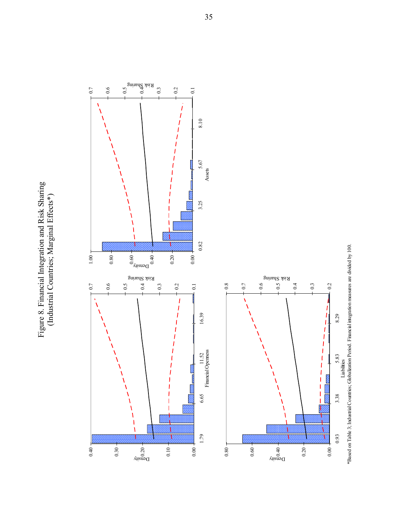Figure 8. Financial Integration and Risk Sharing<br>(Industrial Countries; Marginal Effects\*) Figure 8. Financial Integration and Risk Sharing (Industrial Countries; Marginal Effects\*)

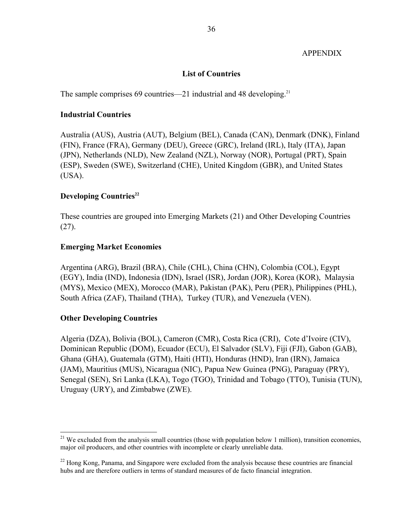#### APPENDIX

### **List of Countries**

The sample comprises 69 countries—21 industrial and 48 developing.<sup>21</sup>

#### **Industrial Countries**

Australia (AUS), Austria (AUT), Belgium (BEL), Canada (CAN), Denmark (DNK), Finland (FIN), France (FRA), Germany (DEU), Greece (GRC), Ireland (IRL), Italy (ITA), Japan (JPN), Netherlands (NLD), New Zealand (NZL), Norway (NOR), Portugal (PRT), Spain (ESP), Sweden (SWE), Switzerland (CHE), United Kingdom (GBR), and United States (USA).

#### **Developing Countries**<sup>22</sup>

These countries are grouped into Emerging Markets (21) and Other Developing Countries (27).

#### **Emerging Market Economies**

Argentina (ARG), Brazil (BRA), Chile (CHL), China (CHN), Colombia (COL), Egypt (EGY), India (IND), Indonesia (IDN), Israel (ISR), Jordan (JOR), Korea (KOR), Malaysia (MYS), Mexico (MEX), Morocco (MAR), Pakistan (PAK), Peru (PER), Philippines (PHL), South Africa (ZAF), Thailand (THA), Turkey (TUR), and Venezuela (VEN).

#### **Other Developing Countries**

1

Algeria (DZA), Bolivia (BOL), Cameron (CMR), Costa Rica (CRI), Cote d'Ivoire (CIV), Dominican Republic (DOM), Ecuador (ECU), El Salvador (SLV), Fiji (FJI), Gabon (GAB), Ghana (GHA), Guatemala (GTM), Haiti (HTI), Honduras (HND), Iran (IRN), Jamaica (JAM), Mauritius (MUS), Nicaragua (NIC), Papua New Guinea (PNG), Paraguay (PRY), Senegal (SEN), Sri Lanka (LKA), Togo (TGO), Trinidad and Tobago (TTO), Tunisia (TUN), Uruguay (URY), and Zimbabwe (ZWE).

<sup>&</sup>lt;sup>21</sup> We excluded from the analysis small countries (those with population below 1 million), transition economies, major oil producers, and other countries with incomplete or clearly unreliable data.

 $^{22}$  Hong Kong, Panama, and Singapore were excluded from the analysis because these countries are financial hubs and are therefore outliers in terms of standard measures of de facto financial integration.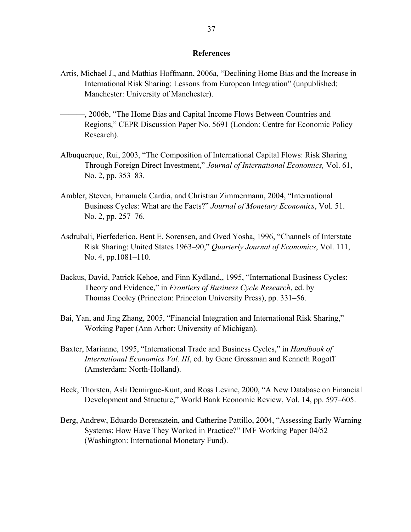#### **References**

- Artis, Michael J., and Mathias Hoffmann, 2006a, "Declining Home Bias and the Increase in International Risk Sharing: Lessons from European Integration" (unpublished; Manchester: University of Manchester).
- ———, 2006b, "The Home Bias and Capital Income Flows Between Countries and Regions," CEPR Discussion Paper No. 5691 (London: Centre for Economic Policy Research).
- Albuquerque, Rui, 2003, "The Composition of International Capital Flows: Risk Sharing Through Foreign Direct Investment," *Journal of International Economics,* Vol. 61, No. 2, pp. 353–83.
- Ambler, Steven, Emanuela Cardia, and Christian Zimmermann, 2004, "International Business Cycles: What are the Facts?" *Journal of Monetary Economics*, Vol. 51. No. 2, pp. 257–76.
- Asdrubali, Pierfederico, Bent E. Sorensen, and Oved Yosha, 1996, "Channels of Interstate Risk Sharing: United States 1963–90," *Quarterly Journal of Economics*, Vol. 111, No. 4, pp.1081–110.
- Backus, David, Patrick Kehoe, and Finn Kydland,, 1995, "International Business Cycles: Theory and Evidence," in *Frontiers of Business Cycle Research*, ed. by Thomas Cooley (Princeton: Princeton University Press), pp. 331–56.
- Bai, Yan, and Jing Zhang, 2005, "Financial Integration and International Risk Sharing," Working Paper (Ann Arbor: University of Michigan).
- Baxter, Marianne, 1995, "International Trade and Business Cycles," in *Handbook of International Economics Vol. III*, ed. by Gene Grossman and Kenneth Rogoff (Amsterdam: North-Holland).
- Beck, Thorsten, Asli Demirguc-Kunt, and Ross Levine, 2000, "A New Database on Financial Development and Structure," World Bank Economic Review, Vol. 14, pp. 597–605.
- Berg, Andrew, Eduardo Borensztein, and Catherine Pattillo, 2004, "Assessing Early Warning Systems: How Have They Worked in Practice?" IMF Working Paper 04/52 (Washington: International Monetary Fund).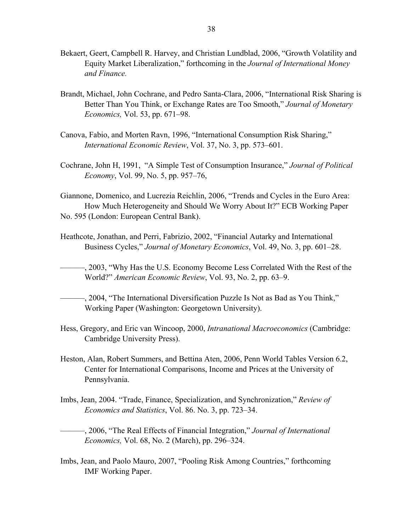- Bekaert, Geert, Campbell R. Harvey, and Christian Lundblad, 2006, "Growth Volatility and Equity Market Liberalization," forthcoming in the *Journal of International Money and Finance.*
- Brandt, Michael, John Cochrane, and Pedro Santa-Clara, 2006, "International Risk Sharing is Better Than You Think, or Exchange Rates are Too Smooth," *Journal of Monetary Economics,* Vol. 53, pp. 671–98.
- Canova, Fabio, and Morten Ravn, 1996, "International Consumption Risk Sharing," *International Economic Review*, Vol. 37, No. 3, pp. 573–601.
- Cochrane, John H, 1991, "A Simple Test of Consumption Insurance," *Journal of Political Economy*, Vol. 99, No. 5, pp. 957–76,

Giannone, Domenico, and Lucrezia Reichlin, 2006, "Trends and Cycles in the Euro Area: How Much Heterogeneity and Should We Worry About It?" ECB Working Paper No. 595 (London: European Central Bank).

- Heathcote, Jonathan, and Perri, Fabrizio, 2002, "Financial Autarky and International Business Cycles," *Journal of Monetary Economics*, Vol. 49, No. 3, pp. 601–28.
- ———, 2003, "Why Has the U.S. Economy Become Less Correlated With the Rest of the World?" *American Economic Review*, Vol. 93, No. 2, pp. 63–9.
- ———, 2004, "The International Diversification Puzzle Is Not as Bad as You Think," Working Paper (Washington: Georgetown University).
- Hess, Gregory, and Eric van Wincoop, 2000, *Intranational Macroeconomics* (Cambridge: Cambridge University Press).
- Heston, Alan, Robert Summers, and Bettina Aten, 2006, Penn World Tables Version 6.2, Center for International Comparisons, Income and Prices at the University of Pennsylvania.
- Imbs, Jean, 2004. "Trade, Finance, Specialization, and Synchronization," *Review of Economics and Statistics*, Vol. 86. No. 3, pp. 723–34.
- ———, 2006, "The Real Effects of Financial Integration," *Journal of International Economics,* Vol. 68, No. 2 (March), pp. 296–324.
- Imbs, Jean, and Paolo Mauro, 2007, "Pooling Risk Among Countries," forthcoming IMF Working Paper.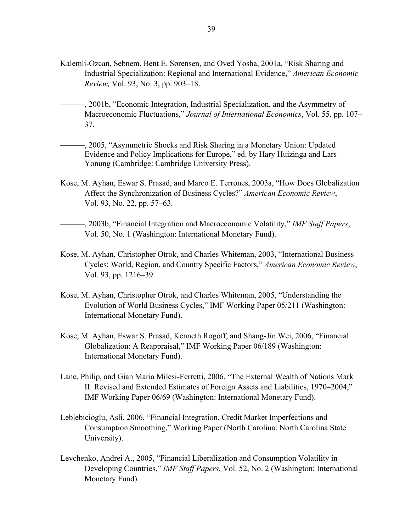- Kalemli-Ozcan, Sebnem, Bent E. Sørensen, and Oved Yosha, 2001a, "Risk Sharing and Industrial Specialization: Regional and International Evidence," *American Economic Review,* Vol. 93, No. 3, pp. 903–18.
- ———, 2001b, "Economic Integration, Industrial Specialization, and the Asymmetry of Macroeconomic Fluctuations," *Journal of International Economics*, Vol. 55, pp. 107– 37.
- ———, 2005, "Asymmetric Shocks and Risk Sharing in a Monetary Union: Updated Evidence and Policy Implications for Europe," ed. by Hary Huizinga and Lars Yonung (Cambridge: Cambridge University Press).
- Kose, M. Ayhan, Eswar S. Prasad, and Marco E. Terrones, 2003a, "How Does Globalization Affect the Synchronization of Business Cycles?" *American Economic Review*, Vol. 93, No. 22, pp. 57–63.
- ———, 2003b, "Financial Integration and Macroeconomic Volatility," *IMF Staff Papers*, Vol. 50, No. 1 (Washington: International Monetary Fund).
- Kose, M. Ayhan, Christopher Otrok, and Charles Whiteman, 2003, "International Business Cycles: World, Region, and Country Specific Factors," *American Economic Review*, Vol. 93, pp. 1216–39.
- Kose, M. Ayhan, Christopher Otrok, and Charles Whiteman, 2005, "Understanding the Evolution of World Business Cycles," IMF Working Paper 05/211 (Washington: International Monetary Fund).
- Kose, M. Ayhan, Eswar S. Prasad, Kenneth Rogoff, and Shang-Jin Wei, 2006, "Financial Globalization: A Reappraisal," IMF Working Paper 06/189 (Washington: International Monetary Fund).
- Lane, Philip, and Gian Maria Milesi-Ferretti, 2006, "The External Wealth of Nations Mark II: Revised and Extended Estimates of Foreign Assets and Liabilities, 1970–2004," IMF Working Paper 06/69 (Washington: International Monetary Fund).
- Leblebicioglu, Asli, 2006, "Financial Integration, Credit Market Imperfections and Consumption Smoothing," Working Paper (North Carolina: North Carolina State University).
- Levchenko, Andrei A., 2005, "Financial Liberalization and Consumption Volatility in Developing Countries," *IMF Staff Papers*, Vol. 52, No. 2 (Washington: International Monetary Fund).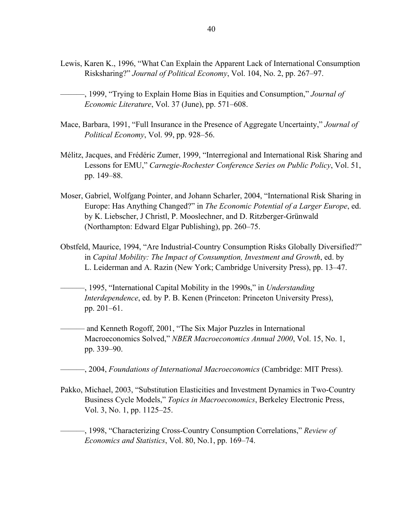- Lewis, Karen K., 1996, "What Can Explain the Apparent Lack of International Consumption Risksharing?" *Journal of Political Economy*, Vol. 104, No. 2, pp. 267–97.
- ––––––, 1999, "Trying to Explain Home Bias in Equities and Consumption," *Journal of Economic Literature*, Vol. 37 (June), pp. 571–608.
- Mace, Barbara, 1991, "Full Insurance in the Presence of Aggregate Uncertainty," *Journal of Political Economy*, Vol. 99, pp. 928–56.
- Mélitz, Jacques, and Frédéric Zumer, 1999, "Interregional and International Risk Sharing and Lessons for EMU," *Carnegie-Rochester Conference Series on Public Policy*, Vol. 51, pp. 149–88.
- Moser, Gabriel, Wolfgang Pointer, and Johann Scharler, 2004, "International Risk Sharing in Europe: Has Anything Changed?" in *The Economic Potential of a Larger Europe*, ed. by K. Liebscher, J Christl, P. Mooslechner, and D. Ritzberger-Grünwald (Northampton: Edward Elgar Publishing), pp. 260–75.
- Obstfeld, Maurice, 1994, "Are Industrial-Country Consumption Risks Globally Diversified?" in *Capital Mobility: The Impact of Consumption, Investment and Growth*, ed. by L. Leiderman and A. Razin (New York; Cambridge University Press), pp. 13–47.
- ––––––, 1995, "International Capital Mobility in the 1990s," in *Understanding Interdependence*, ed. by P. B. Kenen (Princeton: Princeton University Press), pp. 201–61.
- and Kenneth Rogoff, 2001, "The Six Major Puzzles in International Macroeconomics Solved," *NBER Macroeconomics Annual 2000*, Vol. 15, No. 1, pp. 339–90.
- ———, 2004, *Foundations of International Macroeconomics* (Cambridge: MIT Press).
- Pakko, Michael, 2003, "Substitution Elasticities and Investment Dynamics in Two-Country Business Cycle Models," *Topics in Macroeconomics*, Berkeley Electronic Press, Vol. 3, No. 1, pp. 1125–25.
	- ———, 1998, "Characterizing Cross-Country Consumption Correlations," *Review of Economics and Statistics*, Vol. 80, No.1, pp. 169–74.